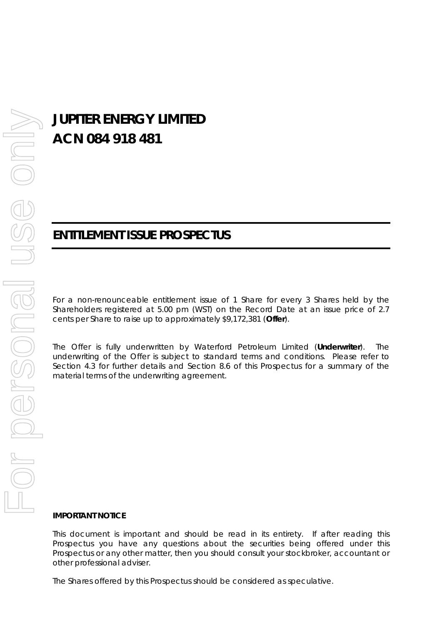# **JUPITER ENERGY LIMITED ACN 084 918 481**

## **ENTITLEMENT ISSUE PROSPECTUS**

For a non-renounceable entitlement issue of 1 Share for every 3 Shares held by the Shareholders registered at 5.00 pm (WST) on the Record Date at an issue price of 2.7 cents per Share to raise up to approximately \$9,172,381 (**Offer**).

The Offer is fully underwritten by Waterford Petroleum Limited (**Underwriter**). The underwriting of the Offer is subject to standard terms and conditions. Please refer to Section 4.3 for further details and Section 8.6 of this Prospectus for a summary of the material terms of the underwriting agreement.

#### **IMPORTANT NOTICE**

This document is important and should be read in its entirety. If after reading this Prospectus you have any questions about the securities being offered under this Prospectus or any other matter, then you should consult your stockbroker, accountant or other professional adviser.

The Shares offered by this Prospectus should be considered as speculative.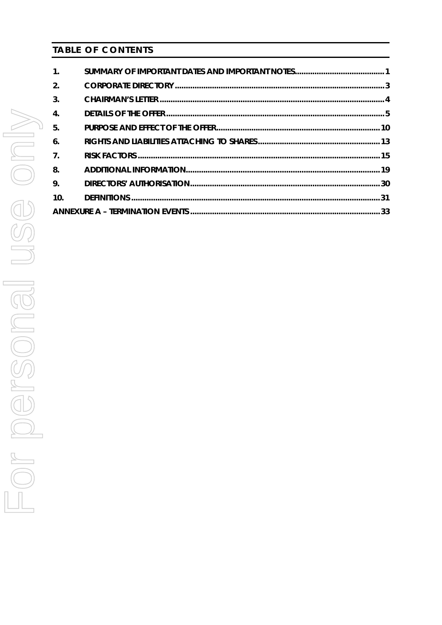## **TABLE OF CONTENTS**

| $\mathbf{1}$ .   |  |
|------------------|--|
| 2.               |  |
| $\mathbf{3}$ .   |  |
| $\overline{4}$ . |  |
| -5.              |  |
| 6.               |  |
| $\overline{7}$ . |  |
| -8.              |  |
| 9.               |  |
| 10.              |  |
|                  |  |
|                  |  |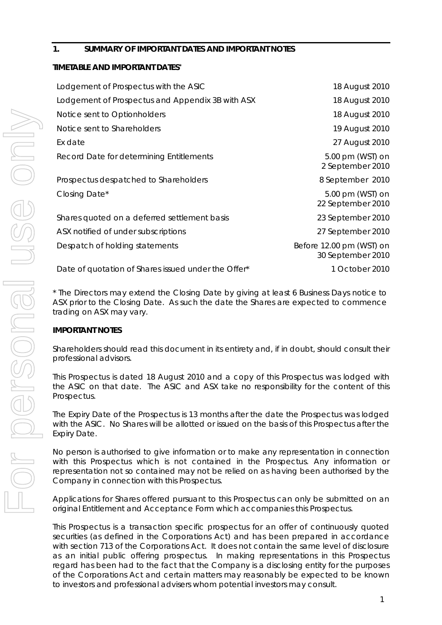## **1. SUMMARY OF IMPORTANT DATES AND IMPORTANT NOTES**

## **TIMETABLE AND IMPORTANT DATES\***

| Lodgement of Prospectus with the ASIC               | 18 August 2010                                |
|-----------------------------------------------------|-----------------------------------------------|
| Lodgement of Prospectus and Appendix 3B with ASX    | 18 August 2010                                |
| Notice sent to Optionholders                        | 18 August 2010                                |
| Notice sent to Shareholders                         | 19 August 2010                                |
| Ex date                                             | 27 August 2010                                |
| Record Date for determining Entitlements            | 5.00 pm (WST) on<br>2 September 2010          |
| Prospectus despatched to Shareholders               | 8 September 2010                              |
| Closing Date*                                       | 5.00 pm (WST) on<br>22 September 2010         |
| Shares quoted on a deferred settlement basis        | 23 September 2010                             |
| ASX notified of under subscriptions                 | 27 September 2010                             |
| Despatch of holding statements                      | Before 12.00 pm (WST) on<br>30 September 2010 |
| Date of quotation of Shares issued under the Offer* | 1 October 2010                                |

\* The Directors may extend the Closing Date by giving at least 6 Business Days notice to ASX prior to the Closing Date. As such the date the Shares are expected to commence trading on ASX may vary.

## **IMPORTANT NOTES**

Shareholders should read this document in its entirety and, if in doubt, should consult their professional advisors.

This Prospectus is dated 18 August 2010 and a copy of this Prospectus was lodged with the ASIC on that date. The ASIC and ASX take no responsibility for the content of this Prospectus.

The Expiry Date of the Prospectus is 13 months after the date the Prospectus was lodged with the ASIC. No Shares will be allotted or issued on the basis of this Prospectus after the Expiry Date.

No person is authorised to give information or to make any representation in connection with this Prospectus which is not contained in the Prospectus. Any information or representation not so contained may not be relied on as having been authorised by the Company in connection with this Prospectus.

Applications for Shares offered pursuant to this Prospectus can only be submitted on an original Entitlement and Acceptance Form which accompanies this Prospectus.

This Prospectus is a transaction specific prospectus for an offer of continuously quoted securities (as defined in the Corporations Act) and has been prepared in accordance with section 713 of the Corporations Act. It does not contain the same level of disclosure as an initial public offering prospectus. In making representations in this Prospectus regard has been had to the fact that the Company is a disclosing entity for the purposes of the Corporations Act and certain matters may reasonably be expected to be known to investors and professional advisers whom potential investors may consult.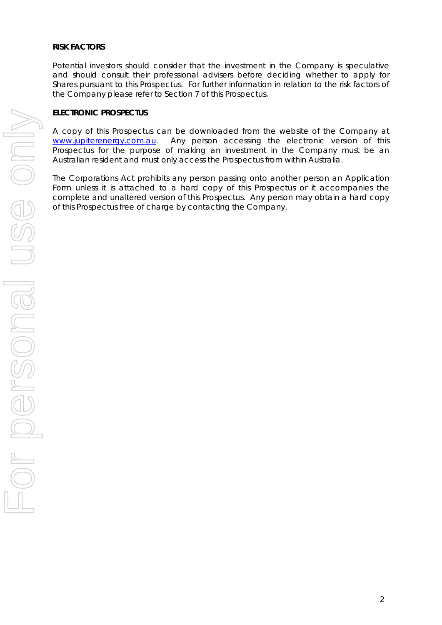#### **RISK FACTORS**

Potential investors should consider that the investment in the Company is speculative and should consult their professional advisers before deciding whether to apply for Shares pursuant to this Prospectus. For further information in relation to the risk factors of the Company please refer to Section 7 of this Prospectus.

#### **ELECTRONIC PROSPECTUS**

A copy of this Prospectus can be downloaded from the website of the Company at www.jupiterenergy.com.au. Any person accessing the electronic version of this Prospectus for the purpose of making an investment in the Company must be an Australian resident and must only access the Prospectus from within Australia.

The Corporations Act prohibits any person passing onto another person an Application Form unless it is attached to a hard copy of this Prospectus or it accompanies the complete and unaltered version of this Prospectus. Any person may obtain a hard copy of this Prospectus free of charge by contacting the Company.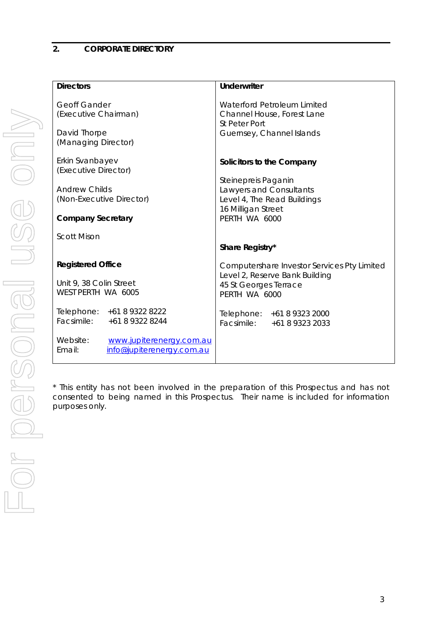## **2. CORPORATE DIRECTORY**

| <b>Directors</b>                                                                                     | <b>Underwriter</b>                                                                                                      |  |
|------------------------------------------------------------------------------------------------------|-------------------------------------------------------------------------------------------------------------------------|--|
| <b>Geoff Gander</b><br>(Executive Chairman)<br>David Thorpe<br>(Managing Director)                   | Waterford Petroleum Limited<br>Channel House, Forest Lane<br><b>St Peter Port</b><br>Guernsey, Channel Islands          |  |
| Erkin Svanbayev                                                                                      | Solicitors to the Company                                                                                               |  |
| (Executive Director)<br><b>Andrew Childs</b><br>(Non-Executive Director)<br><b>Company Secretary</b> | Steinepreis Paganin<br>Lawyers and Consultants<br>Level 4, The Read Buildings<br>16 Milligan Street<br>PERTH WA 6000    |  |
| <b>Scott Mison</b>                                                                                   | Share Registry*                                                                                                         |  |
| <b>Registered Office</b><br>Unit 9, 38 Colin Street<br>WEST PERTH WA 6005                            | Computershare Investor Services Pty Limited<br>Level 2, Reserve Bank Building<br>45 St Georges Terrace<br>PERTH WA 6000 |  |
| Telephone: +61 8 9322 8222<br>Facsimile: +61 8 9322 8244                                             | Telephone: +61 8 9323 2000<br>Facsimile: +61 8 9323 2033                                                                |  |
| Website:<br>www.jupiterenergy.com.au<br>Email:<br>info@jupiterenergy.com.au                          |                                                                                                                         |  |

\* This entity has not been involved in the preparation of this Prospectus and has not consented to being named in this Prospectus. Their name is included for information purposes only.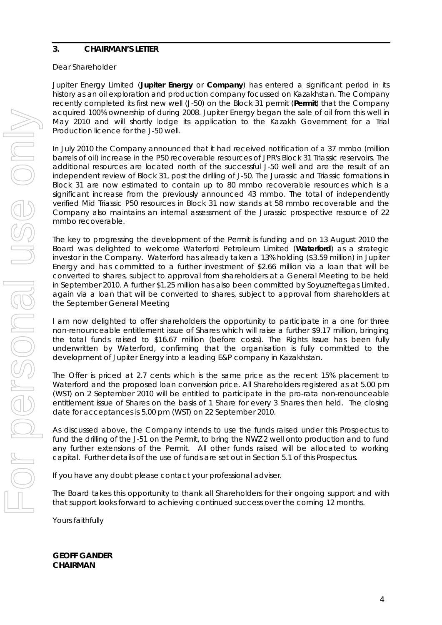## **3. CHAIRMAN'S LETTER**

#### Dear Shareholder

Jupiter Energy Limited (**Jupiter Energy** or **Company**) has entered a significant period in its history as an oil exploration and production company focussed on Kazakhstan. The Company recently completed its first new well (J-50) on the Block 31 permit (**Permit**) that the Company acquired 100% ownership of during 2008. Jupiter Energy began the sale of oil from this well in May 2010 and will shortly lodge its application to the Kazakh Government for a Trial Production licence for the J-50 well.

In July 2010 the Company announced that it had received notification of a 37 mmbo (million barrels of oil) increase in the P50 recoverable resources of JPR's Block 31 Triassic reservoirs. The additional resources are located north of the successful J-50 well and are the result of an independent review of Block 31, post the drilling of J-50. The Jurassic and Triassic formations in Block 31 are now estimated to contain up to 80 mmbo recoverable resources which is a significant increase from the previously announced 43 mmbo. The total of independently verified Mid Triassic P50 resources in Block 31 now stands at 58 mmbo recoverable and the Company also maintains an internal assessment of the Jurassic prospective resource of 22 mmbo recoverable.

The key to progressing the development of the Permit is funding and on 13 August 2010 the Board was delighted to welcome Waterford Petroleum Limited (**Waterford**) as a strategic investor in the Company. Waterford has already taken a 13% holding (\$3.59 million) in Jupiter Energy and has committed to a further investment of \$2.66 million via a loan that will be converted to shares, subject to approval from shareholders at a General Meeting to be held in September 2010. A further \$1.25 million has also been committed by Soyuzneftegas Limited, again via a loan that will be converted to shares, subject to approval from shareholders at the September General Meeting

I am now delighted to offer shareholders the opportunity to participate in a one for three non-renounceable entitlement issue of Shares which will raise a further \$9.17 million, bringing the total funds raised to \$16.67 million (before costs). The Rights Issue has been fully underwritten by Waterford, confirming that the organisation is fully committed to the development of Jupiter Energy into a leading E&P company in Kazakhstan.

The Offer is priced at 2.7 cents which is the same price as the recent 15% placement to Waterford and the proposed loan conversion price. All Shareholders registered as at 5.00 pm (WST) on 2 September 2010 will be entitled to participate in the pro-rata non-renounceable entitlement issue of Shares on the basis of 1 Share for every 3 Shares then held. The closing date for acceptances is 5.00 pm (WST) on 22 September 2010.

As discussed above, the Company intends to use the funds raised under this Prospectus to fund the drilling of the J-51 on the Permit, to bring the NWZ 2 well onto production and to fund any further extensions of the Permit. All other funds raised will be allocated to working capital. Further details of the use of funds are set out in Section 5.1 of this Prospectus.

If you have any doubt please contact your professional adviser.

The Board takes this opportunity to thank all Shareholders for their ongoing support and with that support looks forward to achieving continued success over the coming 12 months.

Yours faithfully

**GEOFF GANDER CHAIRMAN**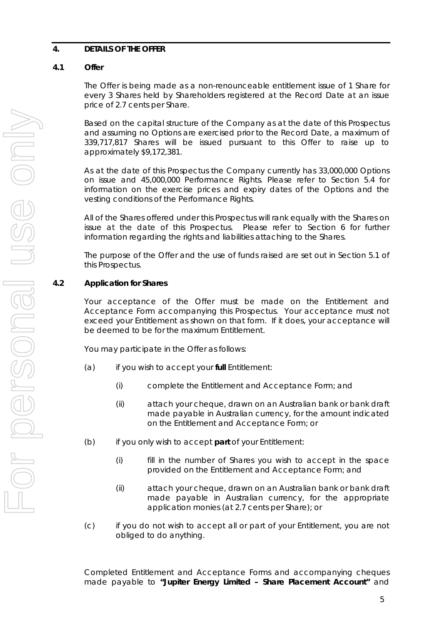## **4. DETAILS OF THE OFFER**

## **4.1 Offer**

The Offer is being made as a non-renounceable entitlement issue of 1 Share for every 3 Shares held by Shareholders registered at the Record Date at an issue price of 2.7 cents per Share.

Based on the capital structure of the Company as at the date of this Prospectus and assuming no Options are exercised prior to the Record Date, a maximum of 339,717,817 Shares will be issued pursuant to this Offer to raise up to approximately \$9,172,381.

As at the date of this Prospectus the Company currently has 33,000,000 Options on issue and 45,000,000 Performance Rights. Please refer to Section 5.4 for information on the exercise prices and expiry dates of the Options and the vesting conditions of the Performance Rights.

All of the Shares offered under this Prospectus will rank equally with the Shares on issue at the date of this Prospectus. Please refer to Section 6 for further information regarding the rights and liabilities attaching to the Shares.

The purpose of the Offer and the use of funds raised are set out in Section 5.1 of this Prospectus.

## **4.2 Application for Shares**

Your acceptance of the Offer must be made on the Entitlement and Acceptance Form accompanying this Prospectus. Your acceptance must not exceed your Entitlement as shown on that form. If it does, your acceptance will be deemed to be for the maximum Entitlement.

You may participate in the Offer as follows:

- (a) if you wish to accept your **full** Entitlement:
	- (i) complete the Entitlement and Acceptance Form; and
	- (ii) attach your cheque, drawn on an Australian bank or bank draft made payable in Australian currency, for the amount indicated on the Entitlement and Acceptance Form; or
- (b) if you only wish to accept **part** of your Entitlement:
	- (i) fill in the number of Shares you wish to accept in the space provided on the Entitlement and Acceptance Form; and
	- (ii) attach your cheque, drawn on an Australian bank or bank draft made payable in Australian currency, for the appropriate application monies (at 2.7 cents per Share); or
- (c) if you do not wish to accept all or part of your Entitlement, you are not obliged to do anything.

Completed Entitlement and Acceptance Forms and accompanying cheques made payable to **"Jupiter Energy Limited – Share Placement Account"** and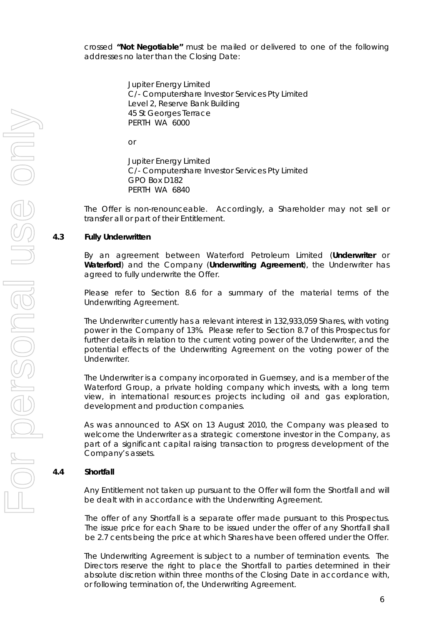crossed **"Not Negotiable"** must be mailed or delivered to one of the following addresses no later than the Closing Date:

> Jupiter Energy Limited C/- Computershare Investor Services Pty Limited Level 2, Reserve Bank Building 45 St Georges Terrace PERTH WA 6000

or

Jupiter Energy Limited C/- Computershare Investor Services Pty Limited GPO Box D182 PERTH WA 6840

The Offer is non-renounceable. Accordingly, a Shareholder may not sell or transfer all or part of their Entitlement.

## **4.3 Fully Underwritten**

By an agreement between Waterford Petroleum Limited (**Underwriter** or **Waterford**) and the Company (**Underwriting Agreement**), the Underwriter has agreed to fully underwrite the Offer.

Please refer to Section 8.6 for a summary of the material terms of the Underwriting Agreement.

The Underwriter currently has a relevant interest in 132,933,059 Shares, with voting power in the Company of 13%. Please refer to Section 8.7 of this Prospectus for further details in relation to the current voting power of the Underwriter, and the potential effects of the Underwriting Agreement on the voting power of the Underwriter.

The Underwriter is a company incorporated in Guernsey, and is a member of the Waterford Group, a private holding company which invests, with a long term view, in international resources projects including oil and gas exploration, development and production companies.

As was announced to ASX on 13 August 2010, the Company was pleased to welcome the Underwriter as a strategic cornerstone investor in the Company, as part of a significant capital raising transaction to progress development of the Company's assets.

## **4.4 Shortfall**

Any Entitlement not taken up pursuant to the Offer will form the Shortfall and will be dealt with in accordance with the Underwriting Agreement.

The offer of any Shortfall is a separate offer made pursuant to this Prospectus. The issue price for each Share to be issued under the offer of any Shortfall shall be 2.7 cents being the price at which Shares have been offered under the Offer.

The Underwriting Agreement is subject to a number of termination events. The Directors reserve the right to place the Shortfall to parties determined in their absolute discretion within three months of the Closing Date in accordance with, or following termination of, the Underwriting Agreement.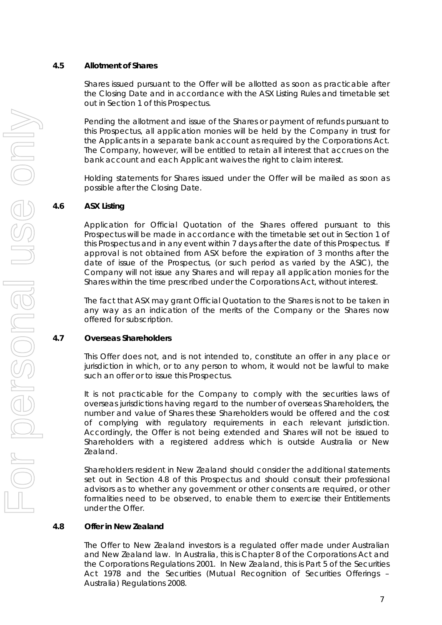## **4.5 Allotment of Shares**

Shares issued pursuant to the Offer will be allotted as soon as practicable after the Closing Date and in accordance with the ASX Listing Rules and timetable set out in Section 1 of this Prospectus.

Pending the allotment and issue of the Shares or payment of refunds pursuant to this Prospectus, all application monies will be held by the Company in trust for the Applicants in a separate bank account as required by the Corporations Act. The Company, however, will be entitled to retain all interest that accrues on the bank account and each Applicant waives the right to claim interest.

Holding statements for Shares issued under the Offer will be mailed as soon as possible after the Closing Date.

## **4.6 ASX Listing**

Application for Official Quotation of the Shares offered pursuant to this Prospectus will be made in accordance with the timetable set out in Section 1 of this Prospectus and in any event within 7 days after the date of this Prospectus. If approval is not obtained from ASX before the expiration of 3 months after the date of issue of the Prospectus, (or such period as varied by the ASIC), the Company will not issue any Shares and will repay all application monies for the Shares within the time prescribed under the Corporations Act, without interest.

The fact that ASX may grant Official Quotation to the Shares is not to be taken in any way as an indication of the merits of the Company or the Shares now offered for subscription.

#### **4.7 Overseas Shareholders**

This Offer does not, and is not intended to, constitute an offer in any place or jurisdiction in which, or to any person to whom, it would not be lawful to make such an offer or to issue this Prospectus.

It is not practicable for the Company to comply with the securities laws of overseas jurisdictions having regard to the number of overseas Shareholders, the number and value of Shares these Shareholders would be offered and the cost of complying with regulatory requirements in each relevant jurisdiction. Accordingly, the Offer is not being extended and Shares will not be issued to Shareholders with a registered address which is outside Australia or New Zealand.

Shareholders resident in New Zealand should consider the additional statements set out in Section 4.8 of this Prospectus and should consult their professional advisors as to whether any government or other consents are required, or other formalities need to be observed, to enable them to exercise their Entitlements under the Offer.

#### **4.8 Offer in New Zealand**

The Offer to New Zealand investors is a regulated offer made under Australian and New Zealand law. In Australia, this is Chapter 8 of the Corporations Act and the Corporations Regulations 2001. In New Zealand, this is Part 5 of the Securities Act 1978 and the Securities (Mutual Recognition of Securities Offerings – Australia) Regulations 2008.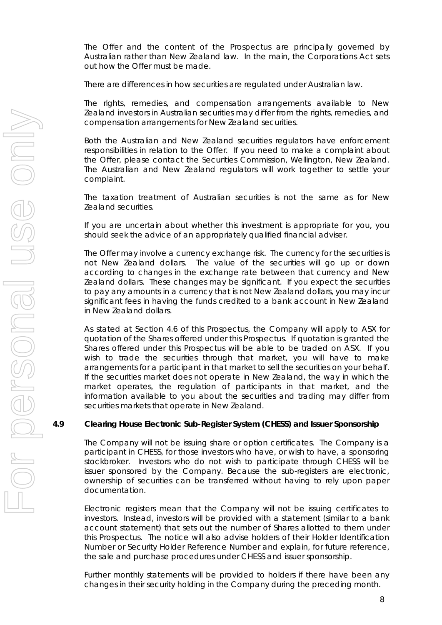The Offer and the content of the Prospectus are principally governed by Australian rather than New Zealand law. In the main, the Corporations Act sets out how the Offer must be made.

There are differences in how securities are regulated under Australian law.

The rights, remedies, and compensation arrangements available to New Zealand investors in Australian securities may differ from the rights, remedies, and compensation arrangements for New Zealand securities.

Both the Australian and New Zealand securities regulators have enforcement responsibilities in relation to the Offer. If you need to make a complaint about the Offer, please contact the Securities Commission, Wellington, New Zealand. The Australian and New Zealand regulators will work together to settle your complaint.

The taxation treatment of Australian securities is not the same as for New Zealand securities.

If you are uncertain about whether this investment is appropriate for you, you should seek the advice of an appropriately qualified financial adviser.

The Offer may involve a currency exchange risk. The currency for the securities is not New Zealand dollars. The value of the securities will go up or down according to changes in the exchange rate between that currency and New Zealand dollars. These changes may be significant. If you expect the securities to pay any amounts in a currency that is not New Zealand dollars, you may incur significant fees in having the funds credited to a bank account in New Zealand in New Zealand dollars.

As stated at Section 4.6 of this Prospectus, the Company will apply to ASX for quotation of the Shares offered under this Prospectus. If quotation is granted the Shares offered under this Prospectus will be able to be traded on ASX. If you wish to trade the securities through that market, you will have to make arrangements for a participant in that market to sell the securities on your behalf. If the securities market does not operate in New Zealand, the way in which the market operates, the regulation of participants in that market, and the information available to you about the securities and trading may differ from securities markets that operate in New Zealand.

#### **4.9 Clearing House Electronic Sub-Register System (CHESS) and Issuer Sponsorship**

The Company will not be issuing share or option certificates. The Company is a participant in CHESS, for those investors who have, or wish to have, a sponsoring stockbroker. Investors who do not wish to participate through CHESS will be issuer sponsored by the Company. Because the sub-registers are electronic, ownership of securities can be transferred without having to rely upon paper documentation.

Electronic registers mean that the Company will not be issuing certificates to investors. Instead, investors will be provided with a statement (similar to a bank account statement) that sets out the number of Shares allotted to them under this Prospectus. The notice will also advise holders of their Holder Identification Number or Security Holder Reference Number and explain, for future reference, the sale and purchase procedures under CHESS and issuer sponsorship.

Further monthly statements will be provided to holders if there have been any changes in their security holding in the Company during the preceding month.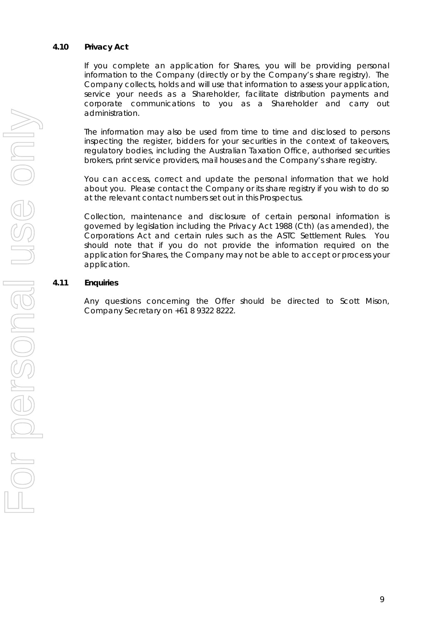## **4.10 Privacy Act**

If you complete an application for Shares, you will be providing personal information to the Company (directly or by the Company's share registry). The Company collects, holds and will use that information to assess your application, service your needs as a Shareholder, facilitate distribution payments and corporate communications to you as a Shareholder and carry out administration.

The information may also be used from time to time and disclosed to persons inspecting the register, bidders for your securities in the context of takeovers, regulatory bodies, including the Australian Taxation Office, authorised securities brokers, print service providers, mail houses and the Company's share registry.

You can access, correct and update the personal information that we hold about you. Please contact the Company or its share registry if you wish to do so at the relevant contact numbers set out in this Prospectus.

Collection, maintenance and disclosure of certain personal information is governed by legislation including the Privacy Act 1988 (Cth) (as amended), the Corporations Act and certain rules such as the ASTC Settlement Rules. You should note that if you do not provide the information required on the application for Shares, the Company may not be able to accept or process your application.

## **4.11 Enquiries**

Any questions concerning the Offer should be directed to Scott Mison, Company Secretary on +61 8 9322 8222.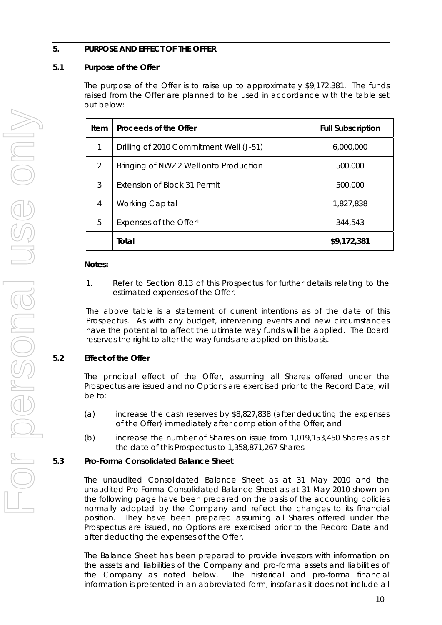## **5. PURPOSE AND EFFECT OF THE OFFER**

## **5.1 Purpose of the Offer**

The purpose of the Offer is to raise up to approximately \$9,172,381. The funds raised from the Offer are planned to be used in accordance with the table set out below:

| Item | Proceeds of the Offer                   | <b>Full Subscription</b> |  |
|------|-----------------------------------------|--------------------------|--|
| 1    | Drilling of 2010 Commitment Well (J-51) | 6,000,000                |  |
| 2    | Bringing of NWZ 2 Well onto Production  | 500,000                  |  |
| 3    | Extension of Block 31 Permit            | 500,000                  |  |
| 4    | <b>Working Capital</b>                  | 1,827,838                |  |
| 5    | Expenses of the Offer <sup>1</sup>      | 344,543                  |  |
|      | Total                                   | \$9,172,381              |  |

#### **Notes:**

1. Refer to Section 8.13 of this Prospectus for further details relating to the estimated expenses of the Offer.

The above table is a statement of current intentions as of the date of this Prospectus. As with any budget, intervening events and new circumstances have the potential to affect the ultimate way funds will be applied. The Board reserves the right to alter the way funds are applied on this basis.

## **5.2 Effect of the Offer**

The principal effect of the Offer, assuming all Shares offered under the Prospectus are issued and no Options are exercised prior to the Record Date, will be to:

- (a) increase the cash reserves by \$8,827,838 (after deducting the expenses of the Offer) immediately after completion of the Offer; and
- (b) increase the number of Shares on issue from 1,019,153,450 Shares as at the date of this Prospectus to 1,358,871,267 Shares.

## **5.3 Pro-Forma Consolidated Balance Sheet**

The unaudited Consolidated Balance Sheet as at 31 May 2010 and the unaudited Pro-Forma Consolidated Balance Sheet as at 31 May 2010 shown on the following page have been prepared on the basis of the accounting policies normally adopted by the Company and reflect the changes to its financial position. They have been prepared assuming all Shares offered under the Prospectus are issued, no Options are exercised prior to the Record Date and after deducting the expenses of the Offer.

The Balance Sheet has been prepared to provide investors with information on the assets and liabilities of the Company and pro-forma assets and liabilities of the Company as noted below. The historical and pro-forma financial information is presented in an abbreviated form, insofar as it does not include all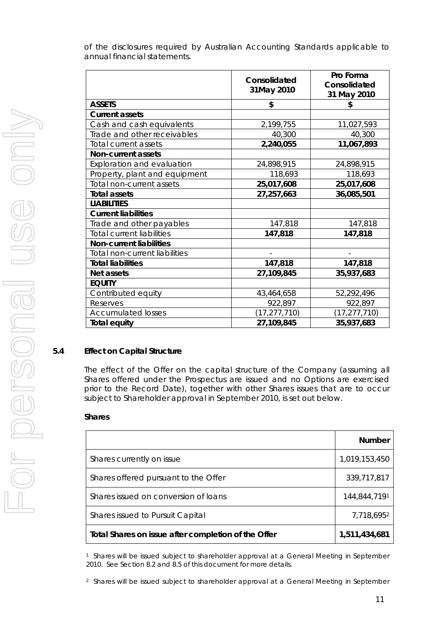of the disclosures required by Australian Accounting Standards applicable to annual financial statements.

|                                  | Consolidated<br>31May 2010 | Pro Forma<br>Consolidated<br>31 May 2010 |
|----------------------------------|----------------------------|------------------------------------------|
| <b>ASSETS</b>                    | \$                         | \$                                       |
| <b>Current assets</b>            |                            |                                          |
| Cash and cash equivalents        | 2,199,755                  | 11,027,593                               |
| Trade and other receivables      | 40,300                     | 40,300                                   |
| Total current assets             | 2,240,055                  | 11,067,893                               |
| <b>Non-current assets</b>        |                            |                                          |
| Exploration and evaluation       | 24,898,915                 | 24,898,915                               |
| Property, plant and equipment    | 118,693                    | 118,693                                  |
| Total non-current assets         | 25,017,608                 | 25,017,608                               |
| <b>Total assets</b>              | 27,257,663                 | 36,085,501                               |
| <b>LIABILITIES</b>               |                            |                                          |
| <b>Current liabilities</b>       |                            |                                          |
| Trade and other payables         | 147,818                    | 147,818                                  |
| <b>Total current liabilities</b> | 147,818                    | 147,818                                  |
| <b>Non-current liabilities</b>   |                            |                                          |
| Total non-current liabilities    |                            |                                          |
| <b>Total liabilities</b>         | 147,818                    | 147,818                                  |
| Net assets                       | 27,109,845                 | 35,937,683                               |
| <b>EQUITY</b>                    |                            |                                          |
| Contributed equity               | 43,464,658                 | 52,292,496                               |
| Reserves                         | 922,897                    | 922,897                                  |
| <b>Accumulated losses</b>        | (17, 277, 710)             | (17, 277, 710)                           |
| <b>Total equity</b>              | 27,109,845                 | 35,937,683                               |

## **5.4 Effect on Capital Structure**

The effect of the Offer on the capital structure of the Company (assuming all Shares offered under the Prospectus are issued and no Options are exercised prior to the Record Date), together with other Shares issues that are to occur subject to Shareholder approval in September 2010, is set out below.

#### **Shares**

|                                                     | <b>Number</b> |
|-----------------------------------------------------|---------------|
| Shares currently on issue                           | 1,019,153,450 |
| Shares offered pursuant to the Offer                | 339,717,817   |
| Shares issued on conversion of loans                | 144,844,7191  |
| Shares issued to Pursuit Capital                    | 7,718,6952    |
| Total Shares on issue after completion of the Offer | 1,511,434,681 |

1 Shares will be issued subject to shareholder approval at a General Meeting in September 2010. See Section 8.2 and 8.5 of this document for more details.

2 Shares will be issued subject to shareholder approval at a General Meeting in September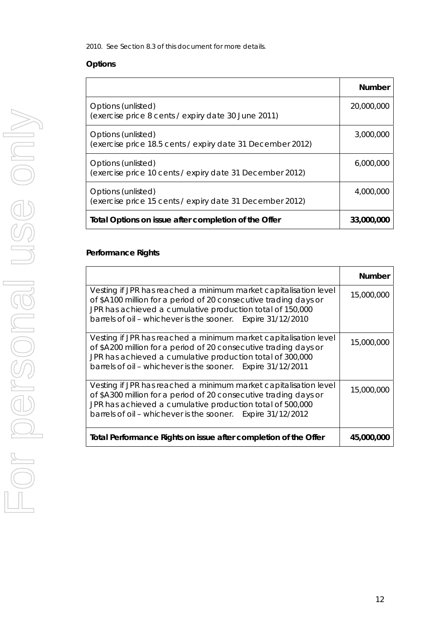2010. See Section 8.3 of this document for more details.

## **Options**

|                                                                                  | <b>Number</b> |
|----------------------------------------------------------------------------------|---------------|
| Options (unlisted)<br>(exercise price 8 cents / expiry date 30 June 2011)        | 20,000,000    |
| Options (unlisted)<br>(exercise price 18.5 cents / expiry date 31 December 2012) | 3,000,000     |
| Options (unlisted)<br>(exercise price 10 cents / expiry date 31 December 2012)   | 6,000,000     |
| Options (unlisted)<br>(exercise price 15 cents / expiry date 31 December 2012)   | 4,000,000     |
| Total Options on issue after completion of the Offer                             | 33,000,000    |

## **Performance Rights**

|                                                                                                                                                                                                                                                                  | <b>Number</b> |
|------------------------------------------------------------------------------------------------------------------------------------------------------------------------------------------------------------------------------------------------------------------|---------------|
| Vesting if JPR has reached a minimum market capitalisation level<br>of \$A100 million for a period of 20 consecutive trading days or<br>JPR has achieved a cumulative production total of 150,000<br>barrels of oil - whichever is the sooner. Expire 31/12/2010 | 15,000,000    |
| Vesting if JPR has reached a minimum market capitalisation level<br>of \$A200 million for a period of 20 consecutive trading days or<br>JPR has achieved a cumulative production total of 300,000<br>barrels of oil - whichever is the sooner. Expire 31/12/2011 | 15,000,000    |
| Vesting if JPR has reached a minimum market capitalisation level<br>of \$A300 million for a period of 20 consecutive trading days or<br>JPR has achieved a cumulative production total of 500,000<br>barrels of oil - whichever is the sooner. Expire 31/12/2012 | 15,000,000    |
| Total Performance Rights on issue after completion of the Offer                                                                                                                                                                                                  | 45,000,000    |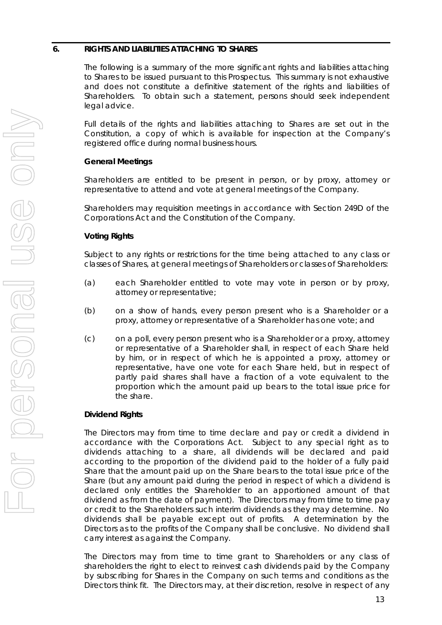#### **6. RIGHTS AND LIABILITIES ATTACHING TO SHARES**

The following is a summary of the more significant rights and liabilities attaching to Shares to be issued pursuant to this Prospectus. This summary is not exhaustive and does not constitute a definitive statement of the rights and liabilities of Shareholders. To obtain such a statement, persons should seek independent legal advice.

Full details of the rights and liabilities attaching to Shares are set out in the Constitution, a copy of which is available for inspection at the Company's registered office during normal business hours.

## **General Meetings**

Shareholders are entitled to be present in person, or by proxy, attorney or representative to attend and vote at general meetings of the Company.

Shareholders may requisition meetings in accordance with Section 249D of the Corporations Act and the Constitution of the Company.

## **Voting Rights**

Subject to any rights or restrictions for the time being attached to any class or classes of Shares, at general meetings of Shareholders or classes of Shareholders:

- (a) each Shareholder entitled to vote may vote in person or by proxy, attorney or representative;
- (b) on a show of hands, every person present who is a Shareholder or a proxy, attorney or representative of a Shareholder has one vote; and
- (c) on a poll, every person present who is a Shareholder or a proxy, attorney or representative of a Shareholder shall, in respect of each Share held by him, or in respect of which he is appointed a proxy, attorney or representative, have one vote for each Share held, but in respect of partly paid shares shall have a fraction of a vote equivalent to the proportion which the amount paid up bears to the total issue price for the share.

## **Dividend Rights**

The Directors may from time to time declare and pay or credit a dividend in accordance with the Corporations Act. Subject to any special right as to dividends attaching to a share, all dividends will be declared and paid according to the proportion of the dividend paid to the holder of a fully paid Share that the amount paid up on the Share bears to the total issue price of the Share (but any amount paid during the period in respect of which a dividend is declared only entitles the Shareholder to an apportioned amount of that dividend as from the date of payment). The Directors may from time to time pay or credit to the Shareholders such interim dividends as they may determine. No dividends shall be payable except out of profits. A determination by the Directors as to the profits of the Company shall be conclusive. No dividend shall carry interest as against the Company.

The Directors may from time to time grant to Shareholders or any class of shareholders the right to elect to reinvest cash dividends paid by the Company by subscribing for Shares in the Company on such terms and conditions as the Directors think fit. The Directors may, at their discretion, resolve in respect of any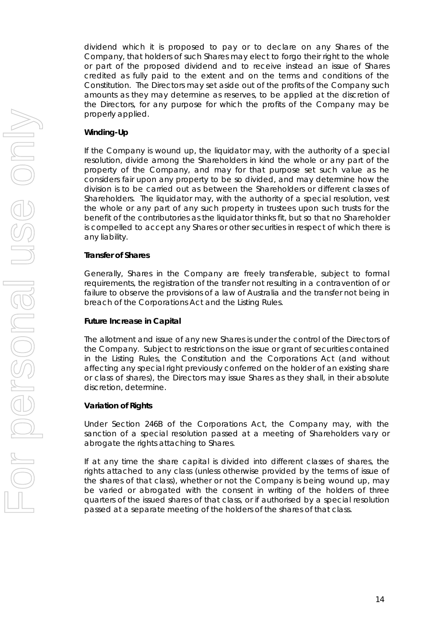dividend which it is proposed to pay or to declare on any Shares of the Company, that holders of such Shares may elect to forgo their right to the whole or part of the proposed dividend and to receive instead an issue of Shares credited as fully paid to the extent and on the terms and conditions of the Constitution. The Directors may set aside out of the profits of the Company such amounts as they may determine as reserves, to be applied at the discretion of the Directors, for any purpose for which the profits of the Company may be properly applied.

## **Winding-Up**

If the Company is wound up, the liquidator may, with the authority of a special resolution, divide among the Shareholders in kind the whole or any part of the property of the Company, and may for that purpose set such value as he considers fair upon any property to be so divided, and may determine how the division is to be carried out as between the Shareholders or different classes of Shareholders. The liquidator may, with the authority of a special resolution, vest the whole or any part of any such property in trustees upon such trusts for the benefit of the contributories as the liquidator thinks fit, but so that no Shareholder is compelled to accept any Shares or other securities in respect of which there is any liability.

## **Transfer of Shares**

Generally, Shares in the Company are freely transferable, subject to formal requirements, the registration of the transfer not resulting in a contravention of or failure to observe the provisions of a law of Australia and the transfer not being in breach of the Corporations Act and the Listing Rules.

## **Future Increase in Capital**

The allotment and issue of any new Shares is under the control of the Directors of the Company. Subject to restrictions on the issue or grant of securities contained in the Listing Rules, the Constitution and the Corporations Act (and without affecting any special right previously conferred on the holder of an existing share or class of shares), the Directors may issue Shares as they shall, in their absolute discretion, determine.

## **Variation of Rights**

Under Section 246B of the Corporations Act, the Company may, with the sanction of a special resolution passed at a meeting of Shareholders vary or abrogate the rights attaching to Shares.

If at any time the share capital is divided into different classes of shares, the rights attached to any class (unless otherwise provided by the terms of issue of the shares of that class), whether or not the Company is being wound up, may be varied or abrogated with the consent in writing of the holders of three quarters of the issued shares of that class, or if authorised by a special resolution passed at a separate meeting of the holders of the shares of that class.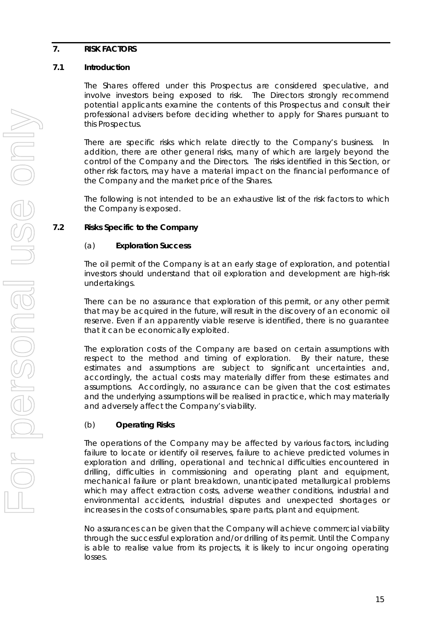## **7. RISK FACTORS**

## **7.1 Introduction**

The Shares offered under this Prospectus are considered speculative, and involve investors being exposed to risk. The Directors strongly recommend potential applicants examine the contents of this Prospectus and consult their professional advisers before deciding whether to apply for Shares pursuant to this Prospectus.

There are specific risks which relate directly to the Company's business. In addition, there are other general risks, many of which are largely beyond the control of the Company and the Directors. The risks identified in this Section, or other risk factors, may have a material impact on the financial performance of the Company and the market price of the Shares.

The following is not intended to be an exhaustive list of the risk factors to which the Company is exposed.

## **7.2 Risks Specific to the Company**

## (a) **Exploration Success**

The oil permit of the Company is at an early stage of exploration, and potential investors should understand that oil exploration and development are high-risk undertakings.

There can be no assurance that exploration of this permit, or any other permit that may be acquired in the future, will result in the discovery of an economic oil reserve. Even if an apparently viable reserve is identified, there is no guarantee that it can be economically exploited.

The exploration costs of the Company are based on certain assumptions with respect to the method and timing of exploration. By their nature, these estimates and assumptions are subject to significant uncertainties and, accordingly, the actual costs may materially differ from these estimates and assumptions. Accordingly, no assurance can be given that the cost estimates and the underlying assumptions will be realised in practice, which may materially and adversely affect the Company's viability.

## (b) **Operating Risks**

The operations of the Company may be affected by various factors, including failure to locate or identify oil reserves, failure to achieve predicted volumes in exploration and drilling, operational and technical difficulties encountered in drilling, difficulties in commissioning and operating plant and equipment, mechanical failure or plant breakdown, unanticipated metallurgical problems which may affect extraction costs, adverse weather conditions, industrial and environmental accidents, industrial disputes and unexpected shortages or increases in the costs of consumables, spare parts, plant and equipment.

No assurances can be given that the Company will achieve commercial viability through the successful exploration and/or drilling of its permit. Until the Company is able to realise value from its projects, it is likely to incur ongoing operating losses.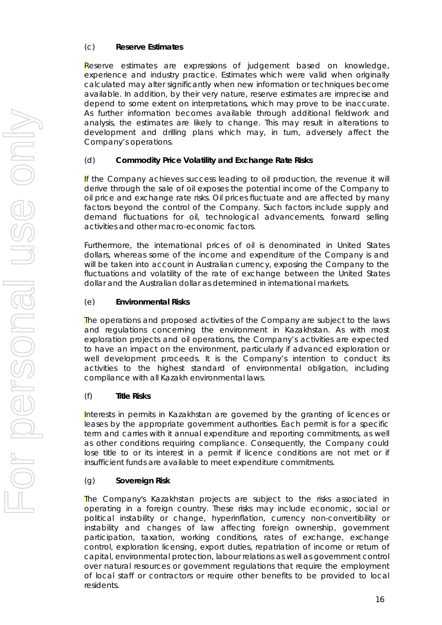## (c) **Reserve Estimates**

Reserve estimates are expressions of judgement based on knowledge, experience and industry practice. Estimates which were valid when originally calculated may alter significantly when new information or techniques become available. In addition, by their very nature, reserve estimates are imprecise and depend to some extent on interpretations, which may prove to be inaccurate. As further information becomes available through additional fieldwork and analysis, the estimates are likely to change. This may result in alterations to development and drilling plans which may, in turn, adversely affect the Company's operations.

## (d) **Commodity Price Volatility and Exchange Rate Risks**

If the Company achieves success leading to oil production, the revenue it will derive through the sale of oil exposes the potential income of the Company to oil price and exchange rate risks. Oil prices fluctuate and are affected by many factors beyond the control of the Company. Such factors include supply and demand fluctuations for oil, technological advancements, forward selling activities and other macro-economic factors.

Furthermore, the international prices of oil is denominated in United States dollars, whereas some of the income and expenditure of the Company is and will be taken into account in Australian currency, exposing the Company to the fluctuations and volatility of the rate of exchange between the United States dollar and the Australian dollar as determined in international markets.

## (e) **Environmental Risks**

The operations and proposed activities of the Company are subject to the laws and regulations concerning the environment in Kazakhstan. As with most exploration projects and oil operations, the Company's activities are expected to have an impact on the environment, particularly if advanced exploration or well development proceeds. It is the Company's intention to conduct its activities to the highest standard of environmental obligation, including compliance with all Kazakh environmental laws.

## (f) **Title Risks**

Interests in permits in Kazakhstan are governed by the granting of licences or leases by the appropriate government authorities. Each permit is for a specific term and carries with it annual expenditure and reporting commitments, as well as other conditions requiring compliance. Consequently, the Company could lose title to or its interest in a permit if licence conditions are not met or if insufficient funds are available to meet expenditure commitments.

## (g) **Sovereign Risk**

The Company's Kazakhstan projects are subject to the risks associated in operating in a foreign country. These risks may include economic, social or political instability or change, hyperinflation, currency non-convertibility or instability and changes of law affecting foreign ownership, government participation, taxation, working conditions, rates of exchange, exchange control, exploration licensing, export duties, repatriation of income or return of capital, environmental protection, labour relations as well as government control over natural resources or government regulations that require the employment of local staff or contractors or require other benefits to be provided to local residents.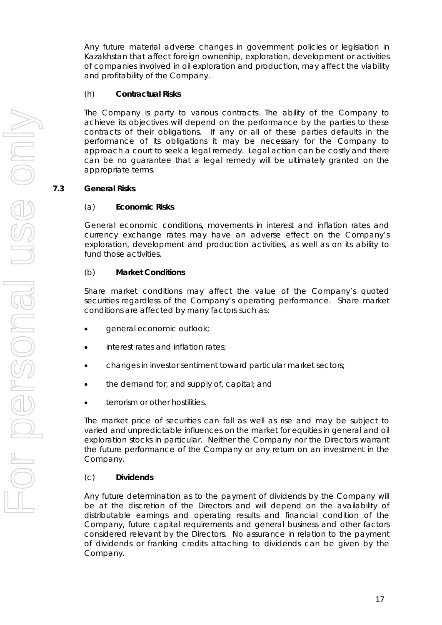Any future material adverse changes in government policies or legislation in Kazakhstan that affect foreign ownership, exploration, development or activities of companies involved in oil exploration and production, may affect the viability and profitability of the Company.

## (h) **Contractual Risks**

The Company is party to various contracts. The ability of the Company to achieve its objectives will depend on the performance by the parties to these contracts of their obligations. If any or all of these parties defaults in the performance of its obligations it may be necessary for the Company to approach a court to seek a legal remedy. Legal action can be costly and there can be no guarantee that a legal remedy will be ultimately granted on the appropriate terms.

## **7.3 General Risks**

## (a) **Economic Risks**

General economic conditions, movements in interest and inflation rates and currency exchange rates may have an adverse effect on the Company's exploration, development and production activities, as well as on its ability to fund those activities.

## (b) **Market Conditions**

Share market conditions may affect the value of the Company's quoted securities regardless of the Company's operating performance. Share market conditions are affected by many factors such as:

- general economic outlook;
- interest rates and inflation rates;
- changes in investor sentiment toward particular market sectors;
- the demand for, and supply of, capital; and
- terrorism or other hostilities.

The market price of securities can fall as well as rise and may be subject to varied and unpredictable influences on the market for equities in general and oil exploration stocks in particular. Neither the Company nor the Directors warrant the future performance of the Company or any return on an investment in the Company.

## (c) **Dividends**

Any future determination as to the payment of dividends by the Company will be at the discretion of the Directors and will depend on the availability of distributable earnings and operating results and financial condition of the Company, future capital requirements and general business and other factors considered relevant by the Directors. No assurance in relation to the payment of dividends or franking credits attaching to dividends can be given by the Company.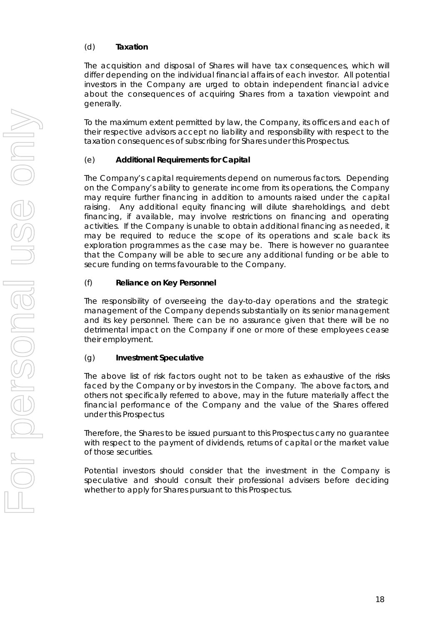## (d) **Taxation**

The acquisition and disposal of Shares will have tax consequences, which will differ depending on the individual financial affairs of each investor. All potential investors in the Company are urged to obtain independent financial advice about the consequences of acquiring Shares from a taxation viewpoint and generally.

To the maximum extent permitted by law, the Company, its officers and each of their respective advisors accept no liability and responsibility with respect to the taxation consequences of subscribing for Shares under this Prospectus.

## (e) **Additional Requirements for Capital**

The Company's capital requirements depend on numerous factors. Depending on the Company's ability to generate income from its operations, the Company may require further financing in addition to amounts raised under the capital raising. Any additional equity financing will dilute shareholdings, and debt financing, if available, may involve restrictions on financing and operating activities. If the Company is unable to obtain additional financing as needed, it may be required to reduce the scope of its operations and scale back its exploration programmes as the case may be. There is however no guarantee that the Company will be able to secure any additional funding or be able to secure funding on terms favourable to the Company.

## (f) **Reliance on Key Personnel**

The responsibility of overseeing the day-to-day operations and the strategic management of the Company depends substantially on its senior management and its key personnel. There can be no assurance given that there will be no detrimental impact on the Company if one or more of these employees cease their employment.

## (g) **Investment Speculative**

The above list of risk factors ought not to be taken as exhaustive of the risks faced by the Company or by investors in the Company. The above factors, and others not specifically referred to above, may in the future materially affect the financial performance of the Company and the value of the Shares offered under this Prospectus

Therefore, the Shares to be issued pursuant to this Prospectus carry no guarantee with respect to the payment of dividends, returns of capital or the market value of those securities.

Potential investors should consider that the investment in the Company is speculative and should consult their professional advisers before deciding whether to apply for Shares pursuant to this Prospectus.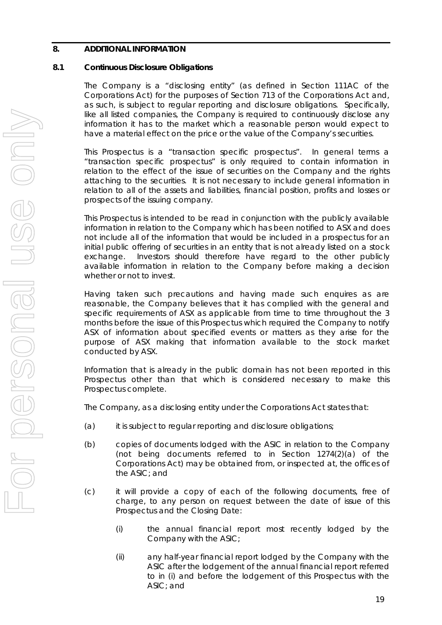## **8. ADDITIONAL INFORMATION**

## **8.1 Continuous Disclosure Obligations**

The Company is a "disclosing entity" (as defined in Section 111AC of the Corporations Act) for the purposes of Section 713 of the Corporations Act and, as such, is subject to regular reporting and disclosure obligations. Specifically, like all listed companies, the Company is required to continuously disclose any information it has to the market which a reasonable person would expect to have a material effect on the price or the value of the Company's securities.

This Prospectus is a "transaction specific prospectus". In general terms a "transaction specific prospectus" is only required to contain information in relation to the effect of the issue of securities on the Company and the rights attaching to the securities. It is not necessary to include general information in relation to all of the assets and liabilities, financial position, profits and losses or prospects of the issuing company.

This Prospectus is intended to be read in conjunction with the publicly available information in relation to the Company which has been notified to ASX and does not include all of the information that would be included in a prospectus for an initial public offering of securities in an entity that is not already listed on a stock exchange. Investors should therefore have regard to the other publicly available information in relation to the Company before making a decision whether or not to invest.

Having taken such precautions and having made such enquires as are reasonable, the Company believes that it has complied with the general and specific requirements of ASX as applicable from time to time throughout the 3 months before the issue of this Prospectus which required the Company to notify ASX of information about specified events or matters as they arise for the purpose of ASX making that information available to the stock market conducted by ASX.

Information that is already in the public domain has not been reported in this Prospectus other than that which is considered necessary to make this Prospectus complete.

The Company, as a disclosing entity under the Corporations Act states that:

- (a) it is subject to regular reporting and disclosure obligations;
- (b) copies of documents lodged with the ASIC in relation to the Company (not being documents referred to in Section 1274(2)(a) of the Corporations Act) may be obtained from, or inspected at, the offices of the ASIC; and
- (c) it will provide a copy of each of the following documents, free of charge, to any person on request between the date of issue of this Prospectus and the Closing Date:
	- (i) the annual financial report most recently lodged by the Company with the ASIC;
	- (ii) any half-year financial report lodged by the Company with the ASIC after the lodgement of the annual financial report referred to in (i) and before the lodgement of this Prospectus with the ASIC; and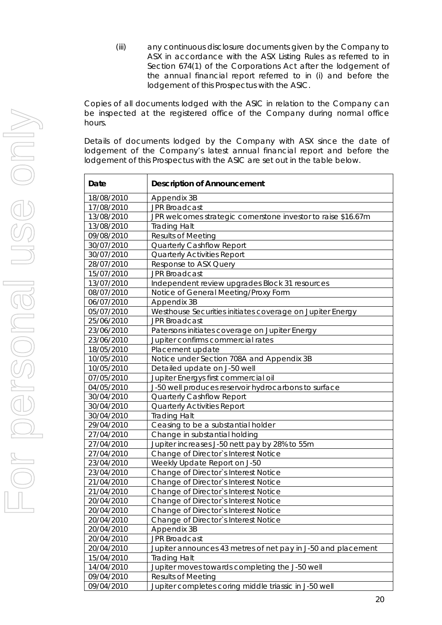(iii) any continuous disclosure documents given by the Company to ASX in accordance with the ASX Listing Rules as referred to in Section 674(1) of the Corporations Act after the lodgement of the annual financial report referred to in (i) and before the lodgement of this Prospectus with the ASIC.

Copies of all documents lodged with the ASIC in relation to the Company can be inspected at the registered office of the Company during normal office hours.

Details of documents lodged by the Company with ASX since the date of lodgement of the Company's latest annual financial report and before the lodgement of this Prospectus with the ASIC are set out in the table below.

| Date       | <b>Description of Announcement</b>                            |
|------------|---------------------------------------------------------------|
| 18/08/2010 | Appendix 3B                                                   |
| 17/08/2010 | <b>JPR Broadcast</b>                                          |
| 13/08/2010 | JPR welcomes strategic cornerstone investor to raise \$16.67m |
| 13/08/2010 | <b>Trading Halt</b>                                           |
| 09/08/2010 | <b>Results of Meeting</b>                                     |
| 30/07/2010 | Quarterly Cashflow Report                                     |
| 30/07/2010 | <b>Quarterly Activities Report</b>                            |
| 28/07/2010 | Response to ASX Query                                         |
| 15/07/2010 | <b>JPR Broadcast</b>                                          |
| 13/07/2010 | Independent review upgrades Block 31 resources                |
| 08/07/2010 | Notice of General Meeting/Proxy Form                          |
| 06/07/2010 | Appendix 3B                                                   |
| 05/07/2010 | Westhouse Securities initiates coverage on Jupiter Energy     |
| 25/06/2010 | <b>JPR Broadcast</b>                                          |
| 23/06/2010 | Patersons initiates coverage on Jupiter Energy                |
| 23/06/2010 | Jupiter confirms commercial rates                             |
| 18/05/2010 | Placement update                                              |
| 10/05/2010 | Notice under Section 708A and Appendix 3B                     |
| 10/05/2010 | Detailed update on J-50 well                                  |
| 07/05/2010 | Jupiter Energys first commercial oil                          |
| 04/05/2010 | J-50 well produces reservoir hydrocarbons to surface          |
| 30/04/2010 | Quarterly Cashflow Report                                     |
| 30/04/2010 | <b>Quarterly Activities Report</b>                            |
| 30/04/2010 | <b>Trading Halt</b>                                           |
| 29/04/2010 | Ceasing to be a substantial holder                            |
| 27/04/2010 | Change in substantial holding                                 |
| 27/04/2010 | Jupiter increases J-50 nett pay by 28% to 55m                 |
| 27/04/2010 | Change of Director's Interest Notice                          |
| 23/04/2010 | Weekly Update Report on J-50                                  |
| 23/04/2010 | Change of Director's Interest Notice                          |
| 21/04/2010 | Change of Director's Interest Notice                          |
| 21/04/2010 | Change of Director's Interest Notice                          |
| 20/04/2010 | Change of Director's Interest Notice                          |
| 20/04/2010 | Change of Director's Interest Notice                          |
| 20/04/2010 | Change of Director's Interest Notice                          |
| 20/04/2010 | Appendix 3B                                                   |
| 20/04/2010 | JPR Broadcast                                                 |
| 20/04/2010 | Jupiter announces 43 metres of net pay in J-50 and placement  |
| 15/04/2010 | <b>Trading Halt</b>                                           |
| 14/04/2010 | Jupiter moves towards completing the J-50 well                |
| 09/04/2010 | Results of Meeting                                            |
| 09/04/2010 | Jupiter completes coring middle triassic in J-50 well         |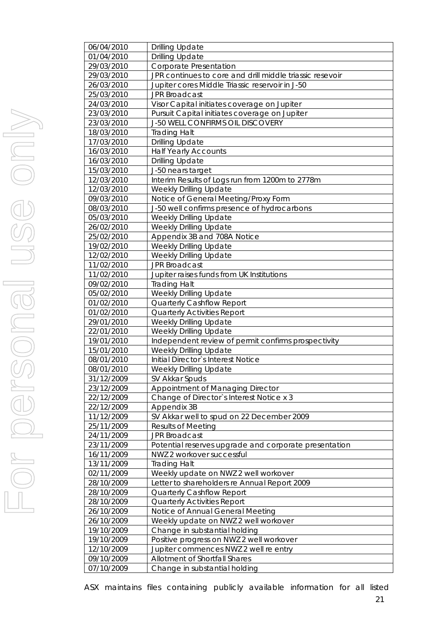| 06/04/2010 | <b>Drilling Update</b>                                   |
|------------|----------------------------------------------------------|
| 01/04/2010 | <b>Drilling Update</b>                                   |
| 29/03/2010 | Corporate Presentation                                   |
| 29/03/2010 | JPR continues to core and drill middle triassic resevoir |
| 26/03/2010 | Jupiter cores Middle Triassic reservoir in J-50          |
| 25/03/2010 | <b>JPR Broadcast</b>                                     |
| 24/03/2010 | Visor Capital initiates coverage on Jupiter              |
| 23/03/2010 | Pursuit Capital initiates coverage on Jupiter            |
| 23/03/2010 | J-50 WELL CONFIRMS OIL DISCOVERY                         |
| 18/03/2010 | <b>Trading Halt</b>                                      |
| 17/03/2010 | <b>Drilling Update</b>                                   |
| 16/03/2010 | <b>Half Yearly Accounts</b>                              |
| 16/03/2010 | <b>Drilling Update</b>                                   |
| 15/03/2010 | J-50 nears target                                        |
| 12/03/2010 | Interim Results of Logs run from 1200m to 2778m          |
| 12/03/2010 | Weekly Drilling Update                                   |
| 09/03/2010 | Notice of General Meeting/Proxy Form                     |
| 08/03/2010 | J-50 well confirms presence of hydrocarbons              |
| 05/03/2010 | Weekly Drilling Update                                   |
| 26/02/2010 | Weekly Drilling Update                                   |
| 25/02/2010 | Appendix 3B and 708A Notice                              |
| 19/02/2010 | Weekly Drilling Update                                   |
| 12/02/2010 | Weekly Drilling Update                                   |
| 11/02/2010 | <b>JPR Broadcast</b>                                     |
| 11/02/2010 | Jupiter raises funds from UK Institutions                |
| 09/02/2010 | <b>Trading Halt</b>                                      |
| 05/02/2010 | Weekly Drilling Update                                   |
| 01/02/2010 | Quarterly Cashflow Report                                |
| 01/02/2010 | <b>Quarterly Activities Report</b>                       |
| 29/01/2010 | Weekly Drilling Update                                   |
| 22/01/2010 | Weekly Drilling Update                                   |
| 19/01/2010 | Independent review of permit confirms prospectivity      |
| 15/01/2010 | Weekly Drilling Update                                   |
| 08/01/2010 | Initial Director's Interest Notice                       |
| 08/01/2010 | <b>Weekly Drilling Update</b>                            |
| 31/12/2009 | SV Akkar Spuds                                           |
| 23/12/2009 | Appointment of Managing Director                         |
| 22/12/2009 | Change of Director's Interest Notice x 3                 |
| 22/12/2009 | Appendix 3B                                              |
| 11/12/2009 | SV Akkar well to spud on 22 December 2009                |
| 25/11/2009 | <b>Results of Meeting</b>                                |
| 24/11/2009 | <b>JPR Broadcast</b>                                     |
| 23/11/2009 | Potential reserves upgrade and corporate presentation    |
| 16/11/2009 | NWZ 2 workover successful                                |
| 13/11/2009 | <b>Trading Halt</b>                                      |
| 02/11/2009 | Weekly update on NWZ 2 well workover                     |
| 28/10/2009 | Letter to shareholders re Annual Report 2009             |
| 28/10/2009 | <b>Quarterly Cashflow Report</b>                         |
| 28/10/2009 | Quarterly Activities Report                              |
| 26/10/2009 | Notice of Annual General Meeting                         |
| 26/10/2009 | Weekly update on NWZ 2 well workover                     |
| 19/10/2009 | Change in substantial holding                            |
| 19/10/2009 | Positive progress on NWZ 2 well workover                 |
| 12/10/2009 | Jupiter commences NWZ 2 well re entry                    |
| 09/10/2009 | Allotment of Shortfall Shares                            |
| 07/10/2009 | Change in substantial holding                            |

ASX maintains files containing publicly available information for all listed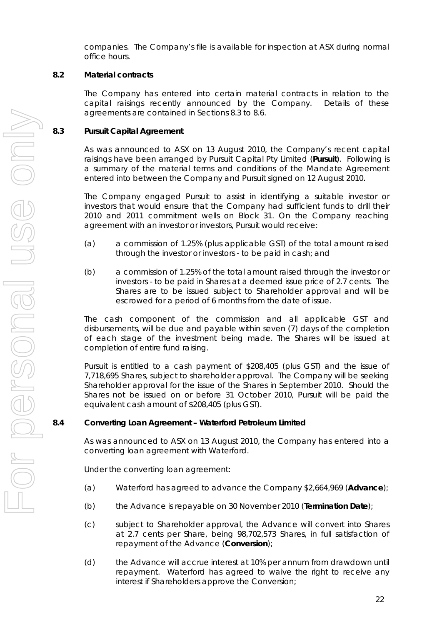companies. The Company's file is available for inspection at ASX during normal office hours.

## **8.2 Material contracts**

The Company has entered into certain material contracts in relation to the capital raisings recently announced by the Company. Details of these agreements are contained in Sections 8.3 to 8.6.

## **8.3 Pursuit Capital Agreement**

As was announced to ASX on 13 August 2010, the Company's recent capital raisings have been arranged by Pursuit Capital Pty Limited (**Pursuit**). Following is a summary of the material terms and conditions of the Mandate Agreement entered into between the Company and Pursuit signed on 12 August 2010.

The Company engaged Pursuit to assist in identifying a suitable investor or investors that would ensure that the Company had sufficient funds to drill their 2010 and 2011 commitment wells on Block 31. On the Company reaching agreement with an investor or investors, Pursuit would receive:

- (a) a commission of 1.25% (plus applicable GST) of the total amount raised through the investor or investors - to be paid in cash; and
- (b) a commission of 1.25% of the total amount raised through the investor or investors - to be paid in Shares at a deemed issue price of 2.7 cents. The Shares are to be issued subject to Shareholder approval and will be escrowed for a period of 6 months from the date of issue.

The cash component of the commission and all applicable GST and disbursements, will be due and payable within seven (7) days of the completion of each stage of the investment being made. The Shares will be issued at completion of entire fund raising.

Pursuit is entitled to a cash payment of \$208,405 (plus GST) and the issue of 7,718,695 Shares, subject to shareholder approval. The Company will be seeking Shareholder approval for the issue of the Shares in September 2010. Should the Shares not be issued on or before 31 October 2010, Pursuit will be paid the equivalent cash amount of \$208,405 (plus GST).

## **8.4 Converting Loan Agreement – Waterford Petroleum Limited**

As was announced to ASX on 13 August 2010, the Company has entered into a converting loan agreement with Waterford.

Under the converting loan agreement:

- (a) Waterford has agreed to advance the Company \$2,664,969 (**Advance**);
- (b) the Advance is repayable on 30 November 2010 (**Termination Date**);
- (c) subject to Shareholder approval, the Advance will convert into Shares at 2.7 cents per Share, being 98,702,573 Shares, in full satisfaction of repayment of the Advance (**Conversion**);
- (d) the Advance will accrue interest at 10% per annum from drawdown until repayment. Waterford has agreed to waive the right to receive any interest if Shareholders approve the Conversion;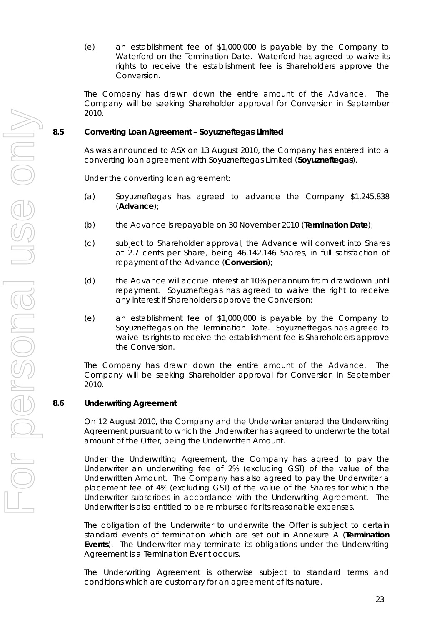(e) an establishment fee of \$1,000,000 is payable by the Company to Waterford on the Termination Date. Waterford has agreed to waive its rights to receive the establishment fee is Shareholders approve the Conversion.

The Company has drawn down the entire amount of the Advance. The Company will be seeking Shareholder approval for Conversion in September 2010.

## **8.5 Converting Loan Agreement – Soyuzneftegas Limited**

As was announced to ASX on 13 August 2010, the Company has entered into a converting loan agreement with Soyuzneftegas Limited (**Soyuzneftegas**).

Under the converting loan agreement:

- (a) Soyuzneftegas has agreed to advance the Company \$1,245,838 (**Advance**);
- (b) the Advance is repayable on 30 November 2010 (**Termination Date**);
- (c) subject to Shareholder approval, the Advance will convert into Shares at 2.7 cents per Share, being 46,142,146 Shares, in full satisfaction of repayment of the Advance (**Conversion**);
- (d) the Advance will accrue interest at 10% per annum from drawdown until repayment. Soyuzneftegas has agreed to waive the right to receive any interest if Shareholders approve the Conversion;
- (e) an establishment fee of \$1,000,000 is payable by the Company to Soyuzneftegas on the Termination Date. Soyuzneftegas has agreed to waive its rights to receive the establishment fee is Shareholders approve the Conversion.

The Company has drawn down the entire amount of the Advance. The Company will be seeking Shareholder approval for Conversion in September 2010.

## **8.6 Underwriting Agreement**

On 12 August 2010, the Company and the Underwriter entered the Underwriting Agreement pursuant to which the Underwriter has agreed to underwrite the total amount of the Offer, being the Underwritten Amount.

Under the Underwriting Agreement, the Company has agreed to pay the Underwriter an underwriting fee of 2% (excluding GST) of the value of the Underwritten Amount. The Company has also agreed to pay the Underwriter a placement fee of 4% (excluding GST) of the value of the Shares for which the Underwriter subscribes in accordance with the Underwriting Agreement. The Underwriter is also entitled to be reimbursed for its reasonable expenses.

The obligation of the Underwriter to underwrite the Offer is subject to certain standard events of termination which are set out in Annexure A (**Termination Events**). The Underwriter may terminate its obligations under the Underwriting Agreement is a Termination Event occurs.

The Underwriting Agreement is otherwise subject to standard terms and conditions which are customary for an agreement of its nature.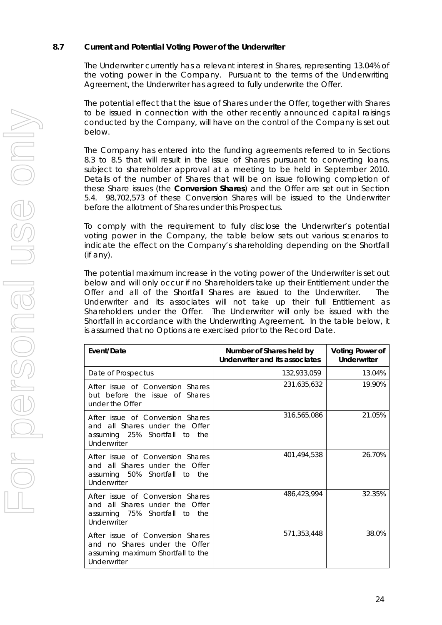## **8.7 Current and Potential Voting Power of the Underwriter**

The Underwriter currently has a relevant interest in Shares, representing 13.04% of the voting power in the Company. Pursuant to the terms of the Underwriting Agreement, the Underwriter has agreed to fully underwrite the Offer.

The potential effect that the issue of Shares under the Offer, together with Shares to be issued in connection with the other recently announced capital raisings conducted by the Company, will have on the control of the Company is set out below.

The Company has entered into the funding agreements referred to in Sections 8.3 to 8.5 that will result in the issue of Shares pursuant to converting loans, subject to shareholder approval at a meeting to be held in September 2010. Details of the number of Shares that will be on issue following completion of these Share issues (the **Conversion Shares**) and the Offer are set out in Section 5.4. 98,702,573 of these Conversion Shares will be issued to the Underwriter before the allotment of Shares under this Prospectus.

To comply with the requirement to fully disclose the Underwriter's potential voting power in the Company, the table below sets out various scenarios to indicate the effect on the Company's shareholding depending on the Shortfall (if any).

The potential maximum increase in the voting power of the Underwriter is set out below and will only occur if no Shareholders take up their Entitlement under the Offer and all of the Shortfall Shares are issued to the Underwriter. The Underwriter and its associates will not take up their full Entitlement as Shareholders under the Offer. The Underwriter will only be issued with the Shortfall in accordance with the Underwriting Agreement. In the table below, it is assumed that no Options are exercised prior to the Record Date.

| Event/Date                                                                                                                 | Number of Shares held by<br>Underwriter and its associates | <b>Voting Power of</b><br><b>Underwriter</b> |  |
|----------------------------------------------------------------------------------------------------------------------------|------------------------------------------------------------|----------------------------------------------|--|
| Date of Prospectus                                                                                                         | 132,933,059                                                | 13.04%                                       |  |
| After issue of Conversion Shares<br>but before the issue of Shares<br>under the Offer                                      | 231,635,632                                                | 19.90%                                       |  |
| After issue of Conversion Shares<br>and all Shares under the Offer<br>assuming 25% Shortfall<br>the<br>to t<br>Underwriter | 316,565,086                                                | 21.05%                                       |  |
| After issue of Conversion Shares<br>and all Shares under the Offer<br>assuming 50% Shortfall to<br>the<br>Underwriter      | 401,494,538                                                | 26.70%                                       |  |
| After issue of Conversion Shares<br>and all Shares under the Offer<br>assuming 75% Shortfall to<br>the<br>Underwriter      | 486,423,994                                                | 32.35%                                       |  |
| After issue of Conversion Shares<br>and no Shares under the Offer<br>assuming maximum Shortfall to the<br>Underwriter      | 571,353,448                                                | 38.0%                                        |  |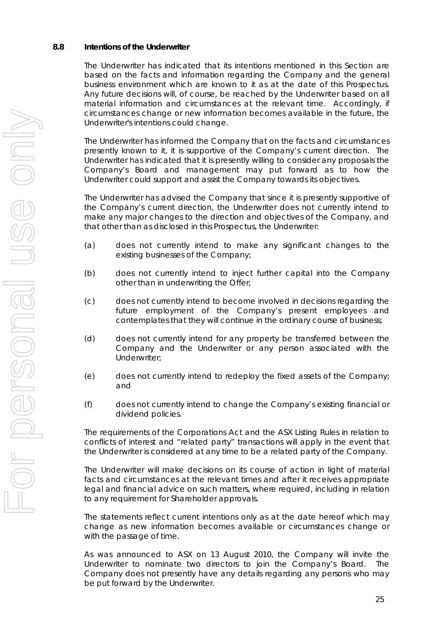#### **8.8 Intentions of the Underwriter**

The Underwriter has indicated that its intentions mentioned in this Section are based on the facts and information regarding the Company and the general business environment which are known to it as at the date of this Prospectus. Any future decisions will, of course, be reached by the Underwriter based on all material information and circumstances at the relevant time. Accordingly, if circumstances change or new information becomes available in the future, the Underwriter's intentions could change.

The Underwriter has informed the Company that on the facts and circumstances presently known to it, it is supportive of the Company's current direction. The Underwriter has indicated that it is presently willing to consider any proposals the Company's Board and management may put forward as to how the Underwriter could support and assist the Company towards its objectives.

The Underwriter has advised the Company that since it is presently supportive of the Company's current direction, the Underwriter does not currently intend to make any major changes to the direction and objectives of the Company, and that other than as disclosed in this Prospectus, the Underwriter:

- (a) does not currently intend to make any significant changes to the existing businesses of the Company;
- (b) does not currently intend to inject further capital into the Company other than in underwriting the Offer;
- (c) does not currently intend to become involved in decisions regarding the future employment of the Company's present employees and contemplates that they will continue in the ordinary course of business;
- (d) does not currently intend for any property be transferred between the Company and the Underwriter or any person associated with the Underwriter;
- (e) does not currently intend to redeploy the fixed assets of the Company; and
- (f) does not currently intend to change the Company's existing financial or dividend policies.

The requirements of the Corporations Act and the ASX Listing Rules in relation to conflicts of interest and "related party" transactions will apply in the event that the Underwriter is considered at any time to be a related party of the Company.

The Underwriter will make decisions on its course of action in light of material facts and circumstances at the relevant times and after it receives appropriate legal and financial advice on such matters, where required, including in relation to any requirement for Shareholder approvals.

The statements reflect current intentions only as at the date hereof which may change as new information becomes available or circumstances change or with the passage of time.

As was announced to ASX on 13 August 2010, the Company will invite the Underwriter to nominate two directors to join the Company's Board. The Company does not presently have any details regarding any persons who may be put forward by the Underwriter.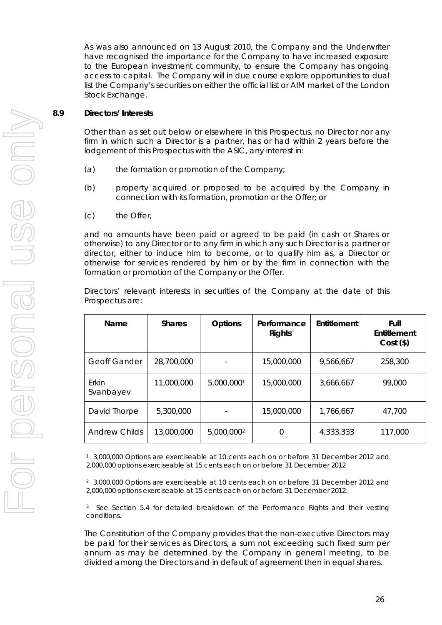As was also announced on 13 August 2010, the Company and the Underwriter have recognised the importance for the Company to have increased exposure to the European investment community, to ensure the Company has ongoing access to capital. The Company will in due course explore opportunities to dual list the Company's securities on either the official list or AIM market of the London Stock Exchange.

## **8.9 Directors' Interests**

Other than as set out below or elsewhere in this Prospectus, no Director nor any firm in which such a Director is a partner, has or had within 2 years before the lodgement of this Prospectus with the ASIC, any interest in:

- (a) the formation or promotion of the Company;
- (b) property acquired or proposed to be acquired by the Company in connection with its formation, promotion or the Offer; or
- (c) the Offer,

and no amounts have been paid or agreed to be paid (in cash or Shares or otherwise) to any Director or to any firm in which any such Director is a partner or director, either to induce him to become, or to qualify him as, a Director or otherwise for services rendered by him or by the firm in connection with the formation or promotion of the Company or the Offer.

Directors' relevant interests in securities of the Company at the date of this Prospectus are:

| <b>Name</b>          | <b>Shares</b> | <b>Options</b>         | Performance<br>Rights <sup>3</sup> | Entitlement | Full<br>Entitlement<br>$Cost($ \$) |
|----------------------|---------------|------------------------|------------------------------------|-------------|------------------------------------|
| <b>Geoff Gander</b>  | 28,700,000    |                        | 15,000,000                         | 9,566,667   | 258,300                            |
| Erkin<br>Svanbayev   | 11,000,000    | 5,000,0001             | 15,000,000                         | 3,666,667   | 99,000                             |
| David Thorpe         | 5,300,000     |                        | 15,000,000                         | 1,766,667   | 47,700                             |
| <b>Andrew Childs</b> | 13,000,000    | 5,000,000 <sup>2</sup> | 0                                  | 4,333,333   | 117,000                            |

1 3,000,000 Options are exerciseable at 10 cents each on or before 31 December 2012 and 2,000,000 options exerciseable at 15 cents each on or before 31 December 2012

2 3,000,000 Options are exerciseable at 10 cents each on or before 31 December 2012 and 2,000,000 options exerciseable at 15 cents each on or before 31 December 2012.

<sup>3</sup> See Section 5.4 for detailed breakdown of the Performance Rights and their vesting conditions.

The Constitution of the Company provides that the non-executive Directors may be paid for their services as Directors, a sum not exceeding such fixed sum per annum as may be determined by the Company in general meeting, to be divided among the Directors and in default of agreement then in equal shares.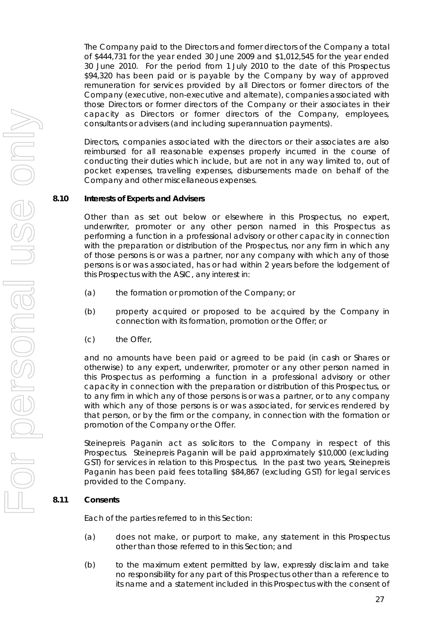The Company paid to the Directors and former directors of the Company a total of \$444,731 for the year ended 30 June 2009 and \$1,012,545 for the year ended 30 June 2010. For the period from 1 July 2010 to the date of this Prospectus \$94,320 has been paid or is payable by the Company by way of approved remuneration for services provided by all Directors or former directors of the Company (executive, non-executive and alternate), companies associated with those Directors or former directors of the Company or their associates in their capacity as Directors or former directors of the Company, employees, consultants or advisers (and including superannuation payments).

Directors, companies associated with the directors or their associates are also reimbursed for all reasonable expenses properly incurred in the course of conducting their duties which include, but are not in any way limited to, out of pocket expenses, travelling expenses, disbursements made on behalf of the Company and other miscellaneous expenses.

## **8.10 Interests of Experts and Advisers**

Other than as set out below or elsewhere in this Prospectus, no expert, underwriter, promoter or any other person named in this Prospectus as performing a function in a professional advisory or other capacity in connection with the preparation or distribution of the Prospectus, nor any firm in which any of those persons is or was a partner, nor any company with which any of those persons is or was associated, has or had within 2 years before the lodgement of this Prospectus with the ASIC, any interest in:

- (a) the formation or promotion of the Company; or
- (b) property acquired or proposed to be acquired by the Company in connection with its formation, promotion or the Offer; or
- (c) the Offer,

and no amounts have been paid or agreed to be paid (in cash or Shares or otherwise) to any expert, underwriter, promoter or any other person named in this Prospectus as performing a function in a professional advisory or other capacity in connection with the preparation or distribution of this Prospectus, or to any firm in which any of those persons is or was a partner, or to any company with which any of those persons is or was associated, for services rendered by that person, or by the firm or the company, in connection with the formation or promotion of the Company or the Offer.

Steinepreis Paganin act as solicitors to the Company in respect of this Prospectus. Steinepreis Paganin will be paid approximately \$10,000 (excluding GST) for services in relation to this Prospectus. In the past two years, Steinepreis Paganin has been paid fees totalling \$84,867 (excluding GST) for legal services provided to the Company.

## **8.11 Consents**

Each of the parties referred to in this Section:

- (a) does not make, or purport to make, any statement in this Prospectus other than those referred to in this Section; and
- (b) to the maximum extent permitted by law, expressly disclaim and take no responsibility for any part of this Prospectus other than a reference to its name and a statement included in this Prospectus with the consent of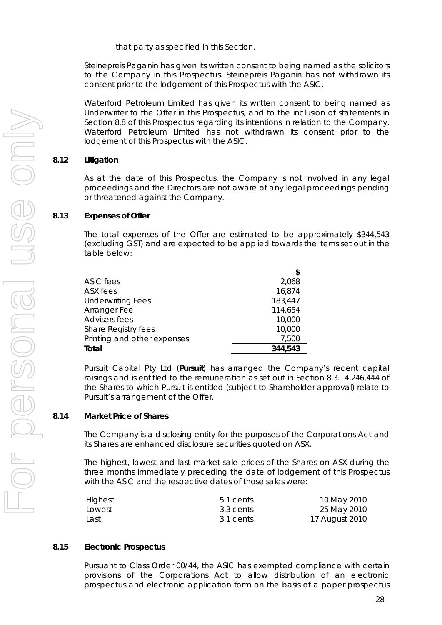that party as specified in this Section.

Steinepreis Paganin has given its written consent to being named as the solicitors to the Company in this Prospectus. Steinepreis Paganin has not withdrawn its consent prior to the lodgement of this Prospectus with the ASIC.

Waterford Petroleum Limited has given its written consent to being named as Underwriter to the Offer in this Prospectus, and to the inclusion of statements in Section 8.8 of this Prospectus regarding its intentions in relation to the Company. Waterford Petroleum Limited has not withdrawn its consent prior to the lodgement of this Prospectus with the ASIC.

## **8.12 Litigation**

As at the date of this Prospectus, the Company is not involved in any legal proceedings and the Directors are not aware of any legal proceedings pending or threatened against the Company.

## **8.13 Expenses of Offer**

The total expenses of the Offer are estimated to be approximately \$344,543 (excluding GST) and are expected to be applied towards the items set out in the table below:

|                             | \$      |
|-----------------------------|---------|
| ASIC fees                   | 2,068   |
| ASX fees                    | 16,874  |
| <b>Underwriting Fees</b>    | 183,447 |
| Arranger Fee                | 114,654 |
| <b>Advisers fees</b>        | 10,000  |
| Share Registry fees         | 10,000  |
| Printing and other expenses | 7,500   |
| Total                       | 344,543 |

Pursuit Capital Pty Ltd (**Pursuit**) has arranged the Company's recent capital raisings and is entitled to the remuneration as set out in Section 8.3. 4,246,444 of the Shares to which Pursuit is entitled (subject to Shareholder approval) relate to Pursuit's arrangement of the Offer.

## **8.14 Market Price of Shares**

The Company is a disclosing entity for the purposes of the Corporations Act and its Shares are enhanced disclosure securities quoted on ASX.

The highest, lowest and last market sale prices of the Shares on ASX during the three months immediately preceding the date of lodgement of this Prospectus with the ASIC and the respective dates of those sales were:

| Highest | 5.1 cents | 10 May 2010    |
|---------|-----------|----------------|
| Lowest  | 3.3 cents | 25 May 2010    |
| Last    | 3.1 cents | 17 August 2010 |

## **8.15 Electronic Prospectus**

Pursuant to Class Order 00/44, the ASIC has exempted compliance with certain provisions of the Corporations Act to allow distribution of an electronic prospectus and electronic application form on the basis of a paper prospectus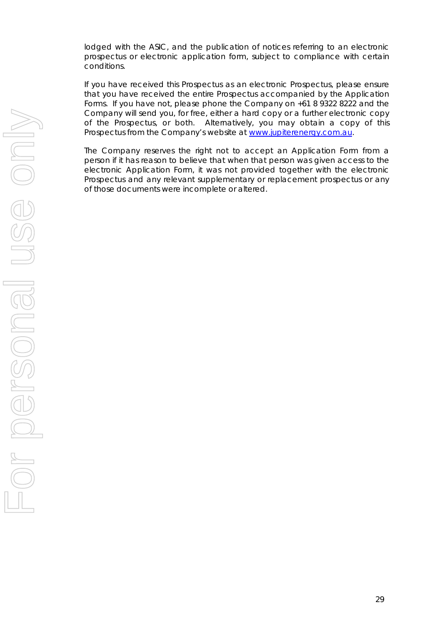lodged with the ASIC, and the publication of notices referring to an electronic prospectus or electronic application form, subject to compliance with certain conditions.

 If you have received this Prospectus as an electronic Prospectus, please ensure that you have received the entire Prospectus accompanied by the Application Forms. If you have not, please phone the Company on +61 8 9322 8222 and the Company will send you, for free, either a hard copy or a further electronic copy of the Prospectus, or both. Alternatively, you may obtain a copy of this Prospectus from the Company's website at www.jupiterenergy.com.au.

The Company reserves the right not to accept an Application Form from a person if it has reason to believe that when that person was given access to the electronic Application Form, it was not provided together with the electronic Prospectus and any relevant supplementary or replacement prospectus or any of those documents were incomplete or altered.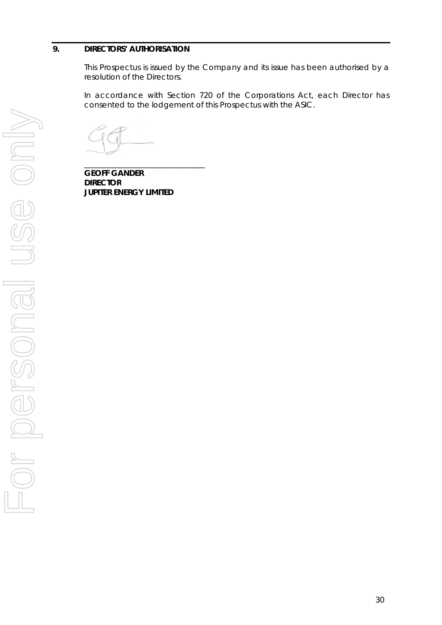## **9. DIRECTOR RS' AUTHOR ISATION**

This Prospectus is issued by the Company and its issue has been authorised by a resolution of the Directors.

In accordance with Section 720 of the Corporations Act, each Director has consented to the lodgement of this Prospectus with the ASIC.

 $\overline{a}$ 

 $\overline{\phantom{a}}$ **GEOFF GA ANDER DIRECTOR JUPITER EN RNERGY LIMI ITED**   $\overline{\phantom{a}}$  $\overline{a}$  . The contract of the contract of the contract of the contract of the contract of the contract of the contract of the contract of the contract of the contract of the contract of the contract of the contract of th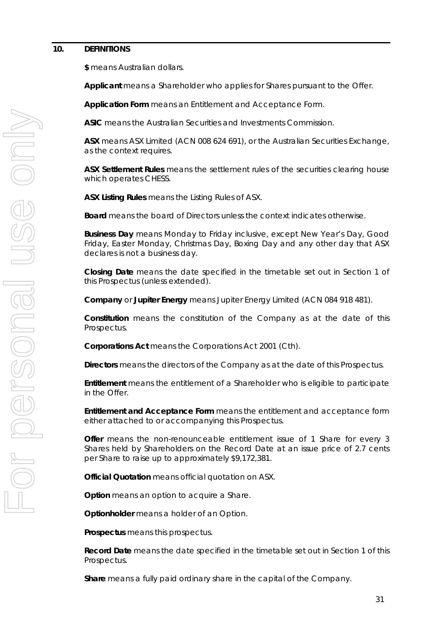#### **10. DEFINITIONS**

**\$** means Australian dollars.

**Applicant** means a Shareholder who applies for Shares pursuant to the Offer.

**Application Form** means an Entitlement and Acceptance Form.

**ASIC** means the Australian Securities and Investments Commission.

**ASX** means ASX Limited (ACN 008 624 691), or the Australian Securities Exchange, as the context requires.

**ASX Settlement Rules** means the settlement rules of the securities clearing house which operates CHESS.

**ASX Listing Rules** means the Listing Rules of ASX.

**Board** means the board of Directors unless the context indicates otherwise.

**Business Day** means Monday to Friday inclusive, except New Year's Day, Good Friday, Easter Monday, Christmas Day, Boxing Day and any other day that ASX declares is not a business day.

**Closing Date** means the date specified in the timetable set out in Section 1 of this Prospectus (unless extended).

**Company** or **Jupiter Energy** means Jupiter Energy Limited (ACN 084 918 481).

**Constitution** means the constitution of the Company as at the date of this Prospectus.

**Corporations Act** means the Corporations Act 2001 (Cth).

**Directors** means the directors of the Company as at the date of this Prospectus.

**Entitlement** means the entitlement of a Shareholder who is eligible to participate in the Offer.

**Entitlement and Acceptance Form** means the entitlement and acceptance form either attached to or accompanying this Prospectus.

**Offer** means the non-renounceable entitlement issue of 1 Share for every 3 Shares held by Shareholders on the Record Date at an issue price of 2.7 cents per Share to raise up to approximately \$9,172,381.

**Official Quotation** means official quotation on ASX.

**Option** means an option to acquire a Share.

**Optionholder** means a holder of an Option.

**Prospectus** means this prospectus.

**Record Date** means the date specified in the timetable set out in Section 1 of this Prospectus.

**Share** means a fully paid ordinary share in the capital of the Company.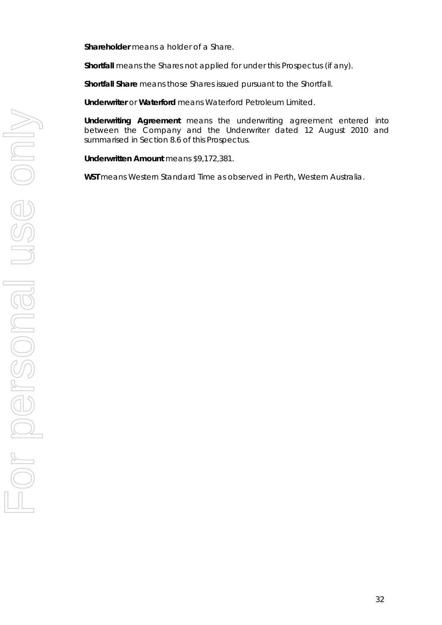**Shareholder** means a holder of a Share.

**Shortfall** means the Shares not applied for under this Prospectus (if any).

**Shortfall Share** means those Shares issued pursuant to the Shortfall.

**Underwriter** or **Waterford** means Waterford Petroleum Limited.

**Underwriting Agreement** means the underwriting agreement entered into between the Company and the Underwriter dated 12 August 2010 and summarised in Section 8.6 of this Prospectus.

**Underwritten Amount** means \$9,172,381.

**WST** means Western Standard Time as observed in Perth, Western Australia.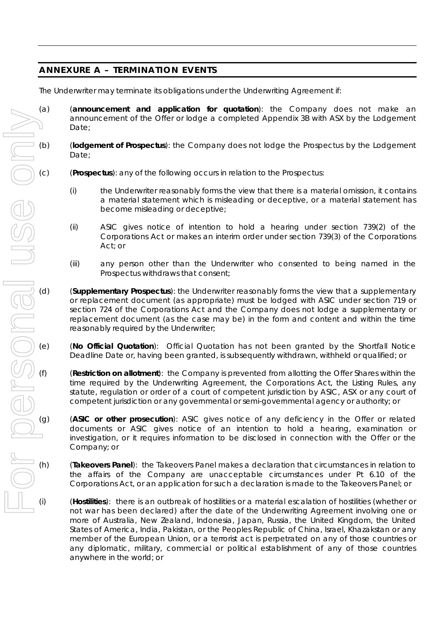## **ANNEXURE A – TERMINATION EVENTS**

The Underwriter may terminate its obligations under the Underwriting Agreement if:

- (a) (**announcement and application for quotation**): the Company does not make an announcement of the Offer or lodge a completed Appendix 3B with ASX by the Lodgement Date;
- (b) (**lodgement of Prospectus**): the Company does not lodge the Prospectus by the Lodgement Date;
- (c) (**Prospectus**): any of the following occurs in relation to the Prospectus:
	- (i) the Underwriter reasonably forms the view that there is a material omission, it contains a material statement which is misleading or deceptive, or a material statement has become misleading or deceptive;
	- (ii) ASIC gives notice of intention to hold a hearing under section 739(2) of the Corporations Act or makes an interim order under section 739(3) of the Corporations Act; or
	- (iii) any person other than the Underwriter who consented to being named in the Prospectus withdraws that consent;
- (d) (**Supplementary Prospectus**): the Underwriter reasonably forms the view that a supplementary or replacement document (as appropriate) must be lodged with ASIC under section 719 or section 724 of the Corporations Act and the Company does not lodge a supplementary or replacement document (as the case may be) in the form and content and within the time reasonably required by the Underwriter;
- (e) (**No Official Quotation**): Official Quotation has not been granted by the Shortfall Notice Deadline Date or, having been granted, is subsequently withdrawn, withheld or qualified; or
	- (Restriction on allotment): the Company is prevented from allotting the Offer Shares within the time required by the Underwriting Agreement, the Corporations Act, the Listing Rules, any statute, regulation or order of a court of competent jurisdiction by ASIC, ASX or any court of competent jurisdiction or any governmental or semi-governmental agency or authority; or
- (g) (**ASIC or other prosecution**): ASIC gives notice of any deficiency in the Offer or related documents or ASIC gives notice of an intention to hold a hearing, examination or investigation, or it requires information to be disclosed in connection with the Offer or the Company; or
- (h) (**Takeovers Panel**): the Takeovers Panel makes a declaration that circumstances in relation to the affairs of the Company are unacceptable circumstances under Pt 6.10 of the Corporations Act, or an application for such a declaration is made to the Takeovers Panel; or
- (i) (**Hostilities**): there is an outbreak of hostilities or a material escalation of hostilities (whether or not war has been declared) after the date of the Underwriting Agreement involving one or more of Australia, New Zealand, Indonesia, Japan, Russia, the United Kingdom, the United States of America, India, Pakistan, or the Peoples Republic of China, Israel, Khazakstan or any member of the European Union, or a terrorist act is perpetrated on any of those countries or any diplomatic, military, commercial or political establishment of any of those countries anywhere in the world; or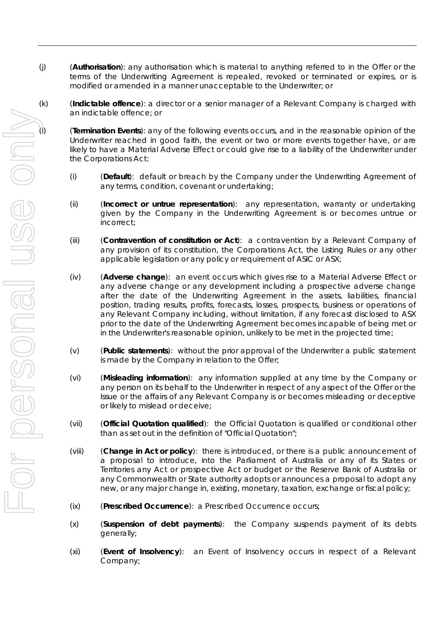- (j) (**Authorisation**): any authorisation which is material to anything referred to in the Offer or the terms of the Underwriting Agreement is repealed, revoked or terminated or expires, or is modified or amended in a manner unacceptable to the Underwriter; or
- (k) (**Indictable offence**): a director or a senior manager of a Relevant Company is charged with an indictable offence; or

Underwriter reached in good faith, the event or two or more events together have, or are likely to have a Material Adverse Effect or could give rise to a liability of the Underwriter under the Corporations Act:

- (i) (**Default**): default or breach by the Company under the Underwriting Agreement of any terms, condition, covenant or undertaking;
- (ii) (**Incorrect or untrue representation**): any representation, warranty or undertaking given by the Company in the Underwriting Agreement is or becomes untrue or incorrect;
- (iii) (**Contravention of constitution or Act**): a contravention by a Relevant Company of any provision of its constitution, the Corporations Act, the Listing Rules or any other applicable legislation or any policy or requirement of ASIC or ASX;
- (**Termination Events):** any of the following events occurs, and in the reasonable opinion of the involvements is applied in the value of the overa consisting in the following the following events of the following the compo (iv) (**Adverse change**): an event occurs which gives rise to a Material Adverse Effect or any adverse change or any development including a prospective adverse change after the date of the Underwriting Agreement in the assets, liabilities, financial position, trading results, profits, forecasts, losses, prospects, business or operations of any Relevant Company including, without limitation, if any forecast disclosed to ASX prior to the date of the Underwriting Agreement becomes incapable of being met or in the Underwriter's reasonable opinion, unlikely to be met in the projected time;
	- (v) (**Public statements**): without the prior approval of the Underwriter a public statement is made by the Company in relation to the Offer;
	- (vi) (**Misleading information**): any information supplied at any time by the Company or any person on its behalf to the Underwriter in respect of any aspect of the Offer or the Issue or the affairs of any Relevant Company is or becomes misleading or deceptive or likely to mislead or deceive;
	- (vii) (**Official Quotation qualified**): the Official Quotation is qualified or conditional other than as set out in the definition of "Official Quotation";
	- (viii) (**Change in Act or policy**): there is introduced, or there is a public announcement of a proposal to introduce, into the Parliament of Australia or any of its States or Territories any Act or prospective Act or budget or the Reserve Bank of Australia or any Commonwealth or State authority adopts or announces a proposal to adopt any new, or any major change in, existing, monetary, taxation, exchange or fiscal policy;
	- (ix) (**Prescribed Occurrence**): a Prescribed Occurrence occurs;
	- (x) (**Suspension of debt payments**): the Company suspends payment of its debts generally;
	- (xi) (**Event of Insolvency**): an Event of Insolvency occurs in respect of a Relevant Company;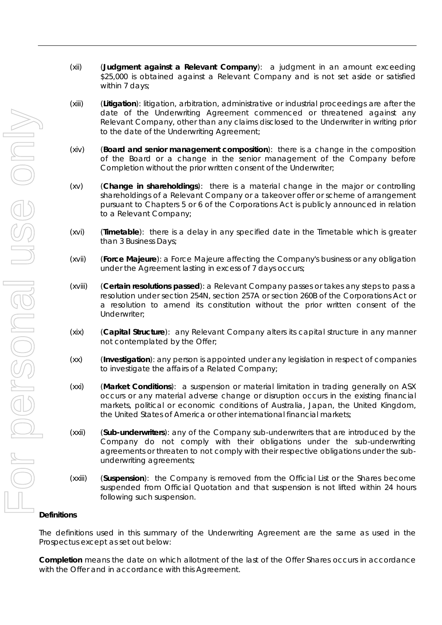- (xii) (**Judgment against a Relevant Company**): a judgment in an amount exceeding \$25,000 is obtained against a Relevant Company and is not set aside or satisfied within 7 days;
- (xiii) (**Litigation**): litigation, arbitration, administrative or industrial proceedings are after the date of the Underwriting Agreement commenced or threatened against any Relevant Company, other than any claims disclosed to the Underwriter in writing prior to the date of the Underwriting Agreement;
- (xiv) (**Board and senior management composition**): there is a change in the composition of the Board or a change in the senior management of the Company before Completion without the prior written consent of the Underwriter;
- (xv) (**Change in shareholdings**): there is a material change in the major or controlling shareholdings of a Relevant Company or a takeover offer or scheme of arrangement pursuant to Chapters 5 or 6 of the Corporations Act is publicly announced in relation to a Relevant Company;
- (xvi) (**Timetable**): there is a delay in any specified date in the Timetable which is greater than 3 Business Days;
- (xvii) (**Force Majeure**): a Force Majeure affecting the Company's business or any obligation under the Agreement lasting in excess of 7 days occurs;
- (xviii) (**Certain resolutions passed**): a Relevant Company passes or takes any steps to pass a resolution under section 254N, section 257A or section 260B of the Corporations Act or a resolution to amend its constitution without the prior written consent of the Underwriter;
- (xix) (**Capital Structure**): any Relevant Company alters its capital structure in any manner not contemplated by the Offer;
- (xx) (**Investigation**): any person is appointed under any legislation in respect of companies to investigate the affairs of a Related Company;
- (xxi) (**Market Conditions**): a suspension or material limitation in trading generally on ASX occurs or any material adverse change or disruption occurs in the existing financial markets, political or economic conditions of Australia, Japan, the United Kingdom, the United States of America or other international financial markets;
- (xxii) (**Sub-underwriters**): any of the Company sub-underwriters that are introduced by the Company do not comply with their obligations under the sub-underwriting agreements or threaten to not comply with their respective obligations under the subunderwriting agreements;
- (xxiii) (**Suspension**): the Company is removed from the Official List or the Shares become suspended from Official Quotation and that suspension is not lifted within 24 hours following such suspension.

#### **Definitions**

The definitions used in this summary of the Underwriting Agreement are the same as used in the Prospectus except as set out below:

**Completion** means the date on which allotment of the last of the Offer Shares occurs in accordance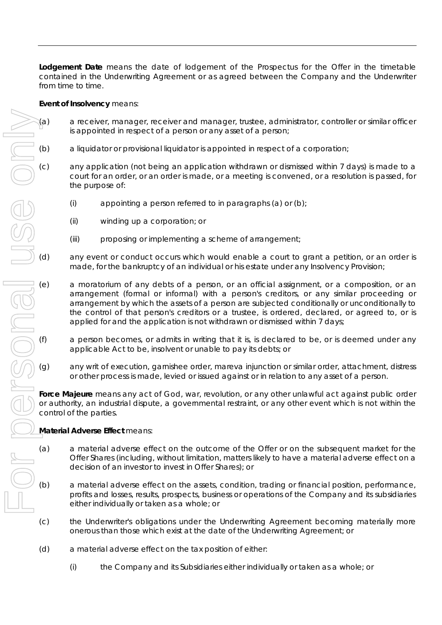**Lodgement Date** means the date of lodgement of the Prospectus for the Offer in the timetable contained in the Underwriting Agreement or as agreed between the Company and the Underwriter from time to time.

#### **Event of Insolvency** means:

- (a) a receiver, manager, receiver and manager, trustee, administrator, controller or similar officer is appointed in respect of a person or any asset of a person;
- (b) a liquidator or provisional liquidator is appointed in respect of a corporation;
- (c) any application (not being an application withdrawn or dismissed within 7 days) is made to a court for an order, or an order is made, or a meeting is convened, or a resolution is passed, for the purpose of:
	- (i) appointing a person referred to in paragraphs (a) or  $(b)$ ;
	- (ii) winding up a corporation; or
	- (iii) proposing or implementing a scheme of arrangement;
- (d) any event or conduct occurs which would enable a court to grant a petition, or an order is made, for the bankruptcy of an individual or his estate under any Insolvency Provision;
- (e) a moratorium of any debts of a person, or an official assignment, or a composition, or an arrangement (formal or informal) with a person's creditors, or any similar proceeding or arrangement by which the assets of a person are subjected conditionally or unconditionally to the control of that person's creditors or a trustee, is ordered, declared, or agreed to, or is applied for and the application is not withdrawn or dismissed within 7 days;
- (f) a person becomes, or admits in writing that it is, is declared to be, or is deemed under any applicable Act to be, insolvent or unable to pay its debts; or
- (g) any writ of execution, garnishee order, mareva injunction or similar order, attachment, distress or other process is made, levied or issued against or in relation to any asset of a person.

**Force Majeure** means any act of God, war, revolution, or any other unlawful act against public order or authority, an industrial dispute, a governmental restraint, or any other event which is not within the control of the parties.

#### **Material Adverse Effect** means:

- (a) a material adverse effect on the outcome of the Offer or on the subsequent market for the Offer Shares (including, without limitation, matters likely to have a material adverse effect on a decision of an investor to invest in Offer Shares); or
- (b) a material adverse effect on the assets, condition, trading or financial position, performance, profits and losses, results, prospects, business or operations of the Company and its subsidiaries either individually or taken as a whole; or
- (c) the Underwriter's obligations under the Underwriting Agreement becoming materially more onerous than those which exist at the date of the Underwriting Agreement; or
- (d) a material adverse effect on the tax position of either:
	- (i) the Company and its Subsidiaries either individually or taken as a whole; or